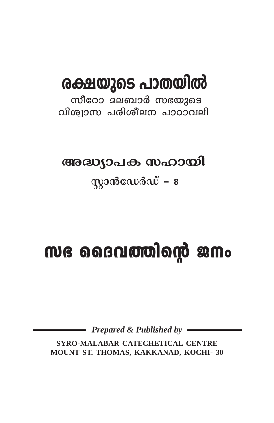# രക്ഷയുടെ പാതയിൽ

സീറോ മലബാർ സഭയുടെ വിശ്വാസ പരിശീലന പാഠാവലി

അദ്ധ്യാപക സഹായി

 $q$ )  $q$ 

# me ออรณตงอาดาชี หลาง

**Prepared & Published by -**

SYRO-MALABAR CATECHETICAL CENTRE MOUNT ST. THOMAS, KAKKANAD, KOCHI- 30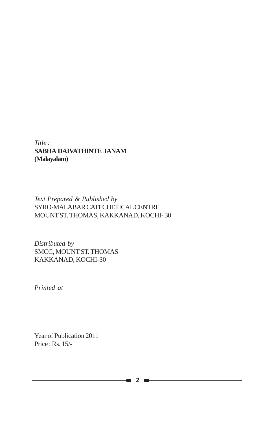### *Title :* **SABHA DAIVATHINTE JANAM (Malayalam)**

### *Text Prepared & Published by* SYRO-MALABAR CATECHETICAL CENTRE MOUNT ST. THOMAS, KAKKANAD, KOCHI- 30

*Distributed by* SMCC, MOUNT ST. THOMAS KAKKANAD, KOCHI-30

*Printed at*

Year of Publication 2011 Price : Rs. 15/-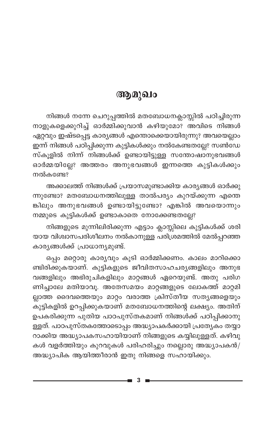## ആമുഖം

നിങ്ങൾ നന്നേ ചെറുപ്പത്തിൽ മതബോധനക്ലാസ്സിൽ പഠിച്ചിരുന്ന നാളുകളെക്കുറിച്ച് ഓർമ്മിക്കുവാൻ കഴിയുമോ? അവിടെ നിങ്ങൾ ഏറ്റവും ഇഷ്ടപ്പെട്ട കാര്യങ്ങൾ എന്തൊക്കെയായിരുന്നു? അവയെല്ലാം ഇന്ന് നിങ്ങൾ പഠിപ്പിക്കുന്ന കുട്ടികൾക്കും നൽകേണ്ടതല്ലേ? സൺഡേ സ്കൂളിൽ നിന്ന് നിങ്ങൾക്ക് ഉണ്ടായിട്ടുള്ള സന്തോഷാനുഭവങ്ങൾ ഓർമ്മയില്ലേ? അത്തരം അനുഭവങ്ങൾ ഇന്നത്തെ കുട്ടികൾക്കും നൽകണ്ടേ?

അക്കാലത്ത് നിങ്ങൾക്ക് പ്രയാസമുണ്ടാക്കിയ കാര്യങ്ങൾ ഓർക്കു ന്നുണ്ടോ? മതബോധനത്തിലുള്ള താൽപര്യം കുറയ്ക്കുന്ന എന്തെ ങ്കിലും അനുഭവങ്ങൾ ഉണ്ടായിട്ടുണ്ടോ? എങ്കിൽ അവയൊന്നും നമ്മുടെ കുട്ടികൾക്ക് ഉണ്ടാകാതെ നോക്കേണ്ടതല്ലേ?

നിങ്ങളുടെ മുന്നിലിരിക്കുന്ന എട്ടാം ക്ലാസ്സിലെ കുട്ടികൾക്ക് ശരി യായ വിശ്വാസപരിശീലനം നൽകാനുള്ള പരിശ്രമത്തിൽ മേൽപ്പറഞ്ഞ കാര്യങ്ങൾക്ക് പ്രാധാന്യമുണ്ട്.

ഒപ്പം മറ്റൊരു കാര്യവും കൂടി ഓർമ്മിക്കണം. കാലം മാറിക്കൊ ണ്ടിരിക്കുകയാണ്. കുട്ടികളുടെ ജീവിതസാഹചര്യങ്ങളിലും അനുഭ വങ്ങളിലും അഭിരുചികളിലും മാറ്റങ്ങൾ ഏറെയുണ്ട്. അതു പരിഗ ണിച്ചാലേ മതിയാവൂ. അതേസമയം മാറ്റങ്ങളുടെ ലോകത്ത് മാറ്റമി ല്ലാത്ത ദൈവത്തെയും മാറ്റം വരാത്ത ക്രിസ്തീയ സത്യങ്ങളെയും കുട്ടികളിൽ ഉറപ്പിക്കുകയാണ് മതബോധനത്തിന്റെ ലക്ഷ്യം. അതിന് ഉപകരിക്കുന്ന പുതിയ പാഠപുസ്തകമാണ് നിങ്ങൾക്ക് പഠിപ്പിക്കാനു ള്ളത്. പാഠപുസ്തകത്തോടൊപ്പം അദ്ധ്യാപകർക്കായി പ്രത്യേകം തയ്യാ റാക്കിയ അദ്ധ്യാപകസഹായിയാണ് നിങ്ങളുടെ കയ്യിലുള്ളത്. കഴിവു കൾ വളർത്തിയും കുറവുകൾ പരിഹരിച്ചും നല്ലൊരു അദ്ധ്യാപകൻ/ അദ്ധ്യാപിക ആയിത്തീരാൻ ഇതു നിങ്ങളെ സഹായിക്കും.

3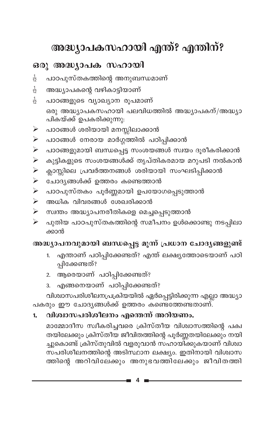# അദ്ധ്യാപകസഹായി എന്ത്? എന്തിന്?

## ഒരു അദ്ധ്യാപക സഹായി

- പാഠപുസ്തകത്തിന്റെ അനുബന്ധമാണ്  $\frac{1}{12}$
- അദ്ധ്യാപകന്റെ വഴികാട്ടിയാണ്  $\frac{1}{12}$
- $\frac{1}{12}$ പാഠങ്ങളുടെ വ്യാഖ്യാന രൂപമാണ്

ഒരു അദ്ധ്യാപകസഹായി പലവിധത്തിൽ അദ്ധ്യാപകന്/അദ്ധ്യാ പികയ്ക്ക് ഉപകരിക്കുന്നു:

- പാഠങ്ങൾ ശരിയായി മനസ്സിലാക്കാൻ  $\blacktriangleright$
- പാഠങ്ങൾ നേരായ മാർഗ്ഗത്തിൽ പഠിപ്പിക്കാൻ  $\blacktriangleright$
- പാഠങ്ങളുമായി ബന്ധപ്പെട്ട സംശയങ്ങൾ സ്വയം ദൂരീകരിക്കാൻ  $\blacktriangleright$
- കുട്ടികളുടെ സംശയങ്ങൾക്ക് തൃപ്തികരമായ മറുപടി നൽകാൻ ➤
- ക്ലാസ്സിലെ പ്രവർത്തനങ്ങൾ ശരിയായി സംഘടിപ്പിക്കാൻ ➤
- ചോദ്യങ്ങൾക്ക് ഉത്തരം കണ്ടെത്താൻ  $\blacktriangleright$
- പാഠപുസ്തകം പൂർണ്ണമായി ഉപയോഗപ്പെടുത്താൻ  $\blacktriangleright$
- അധിക വിവരങ്ങൾ ശേഖരിക്കാൻ  $\blacktriangleright$
- സ്വന്തം അദ്ധ്യാപനരീതികളെ മെച്ചപ്പെടുത്താൻ  $\blacktriangleright$
- പുതിയ പാഠപുസ്തകത്തിന്റെ സമീപനം ഉൾക്കൊണ്ടു നടപ്പിലാ ➤ ക്കാൻ

## അദ്ധ്യാപനവുമായി ബന്ധപ്പെട്ട മൂന്ന് പ്രധാന ചോദ്യങ്ങളുണ്ട്

- എന്താണ് പഠിപ്പിക്കേണ്ടത്? എന്ത് ലക്ഷ്യത്തോടെയാണ് പഠി  $1<sub>1</sub>$ പ്പിക്കേണ്ടത്?
- 2. ആരെയാണ് പഠിപ്പിക്കേണ്ടത്?
- എങ്ങനെയാണ് പഠിപ്പിക്കേണ്ടത്? 3.

വിശ്വാസപരിശീലനപ്രക്രിയയിൽ ഏർപ്പെട്ടിരിക്കുന്ന എല്ലാ അദ്ധ്യാ പകരും ഈ ചോദൃങ്ങൾക്ക് ഉത്തരം കണ്ടെത്തേണ്ടതാണ്.

#### വിശ്വാസപരിശീലനം എന്തെന്ന് അറിയണം.  $1.$

മാമ്മോദീസ സ്വീകരിച്ചവരെ ക്രിസ്തീയ വിശ്വാസത്തിന്റെ പക്വ തയിലേക്കും ക്രിസ്തീയ ജീവിതത്തിന്റെ പൂർണ്ണതയിലേക്കും നയി ച്ചുകൊണ്ട് ക്രിസ്തുവിൽ വളരുവാൻ സഹായിക്കുകയാണ് വിശ്വാ സപരിശീലനത്തിന്റെ അടിസ്ഥാന ലക്ഷ്യം. ഇതിനായി വിശ്വാസ ത്തിന്റെ അറിവിലേക്കും അനുഭവത്തിലേക്കും ജീവിതത്തി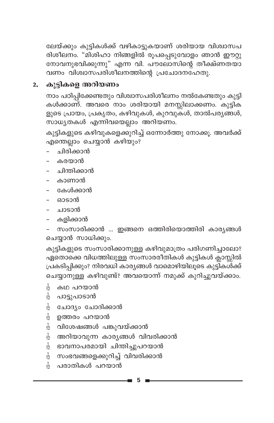ലേയ്ക്കും കുട്ടികൾക്ക് വഴികാട്ടുകയാണ് ശരിയായ വിശ്വാസപ നോവനുഭവിക്കുന്നു" എന്ന വി. പൗലോസിന്റെ തീക്ഷ്ണതയാ വണം വിശ്വാസപരിശീലനത്തിന്റെ പ്രചോദനഹേതു.

#### കുട്ടികളെ അറിയണം  $2.$

നാം പഠിപ്പിക്കേണ്ടതും വിശ്വാസപരിശീലനം നൽകേണ്ടതും കുട്ടി കൾക്കാണ്. അവരെ നാം ശരിയായി മനസ്സിലാക്കണം. കുട്ടിക ളുടെ പ്രായം, പ്രകൃതം, കഴിവുകൾ, കുറവുകൾ, താൽപര്യങ്ങൾ, \_\_<br>സാധൃതകൾ എന്നിവയെല്ലാം അറിയണം.

കുട്ടികളുടെ കഴിവുകളെക്കുറിച്ച് ഒന്നോർത്തു നോക്കൂ. അവർക്ക് എന്തെല്ലാം ചെയ്യാൻ കഴിയും?

- ചിരിക്കാൻ
- കരയാൻ
- ചിന്തിക്കാൻ
- കാണാൻ
- കേൾക്കാൻ
- ഓടാൻ
- ചാടാൻ
- കളിക്കാൻ
- സംസാരിക്കാൻ ... ഇങ്ങനെ ഒത്തിരിയൊത്തിരി കാര്യങ്ങൾ ചെയ്യാൻ സാധിക്കും.

കുട്ടികളുടെ സംസാരിക്കാനുള്ള കഴിവുമാത്രം പരിഗണിച്ചാലോ? ഏതൊക്കെ വിധത്തിലുള്ള സംസാരരീതികൾ കുട്ടികൾ ക്ലാസ്സിൽ പ്രകടിപ്പിക്കും? നിരവധി കാര്യങ്ങൾ വാമൊഴിയിലൂടെ കുട്ടികൾക്ക് ചെയ്യാനുള്ള കഴിവുണ്ട്? അവയൊന്ന് നമുക്ക് കുറിച്ചുവയ്ക്കാം.

- $\frac{1}{12}$  കഥ പറയാൻ
- $\frac{1}{12}$  പാട്ടുപാടാൻ
- $\frac{1}{12}$  ചോദ്യം ചോദിക്കാൻ
- $\frac{1}{12}$  ഉത്തരം പറയാൻ
- $\frac{1}{12}$  വിശേഷങ്ങൾ പങ്കുവയ്ക്കാൻ
- $\frac{1}{12}$  അറിയാവുന്ന കാര്യങ്ങൾ വിവരിക്കാൻ
- $\frac{1}{12}$  ഭാവനാപരമായി ചിന്തിച്ചുപറയാൻ
- $\frac{1}{12}$  സംഭവങ്ങളെക്കുറിച്ച് വിവരിക്കാൻ
- $\frac{1}{12}$  പരാതികൾ പറയാൻ

5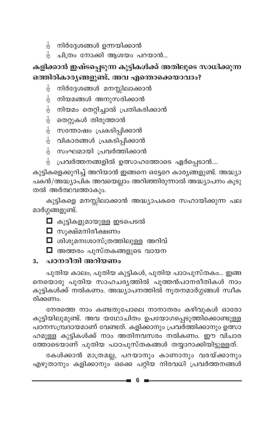- $\frac{1}{12}$  നിർദ്ദേശങ്ങൾ ഉന്നയിക്കാൻ
- $\frac{1}{12}$  ചിത്രം നോക്കി അശയം പറയാൻ...

## കളിക്കാൻ ഇഷ്ടപ്പെടുന്ന കുട്ടികൾക്ക് അതിലൂടെ സാധിക്കുന്ന ഒത്തിരികാരൃങ്ങളുണ്ട്. അവ എന്തൊക്കെയാവാം?

- നിർദ്ദേശങ്ങൾ മനസ്സിലാക്കാൻ  $\frac{1}{12}$
- $\frac{1}{12}$  നിയമങ്ങൾ അനുസരിക്കാൻ
- $\frac{1}{12}$  നിയമം തെറ്റിച്ചാൽ പ്രതികരിക്കാൻ
- $\frac{1}{12}$  തെറ്റുകൾ തിരുത്താൻ
- $\frac{1}{12}$  സന്തോഷം പ്രകടിപ്പിക്കാൻ
- $\frac{1}{12}$  വികാരങ്ങൾ പ്രകടിപ്പിക്കാൻ
- $\frac{1}{12}$  സംഘമായി പ്രവർത്തിക്കാൻ
- പ്രവർത്തനങ്ങളിൽ ഉത്സാഹത്തോടെ ഏർപ്പെടാൻ....  $\frac{1}{12}$

കുട്ടികളെക്കുറിച്ച് അറിയാൻ ഇങ്ങനെ ഒട്ടേറെ കാര്യങ്ങളുണ്ട്. അദ്ധ്യാ പകൻ/അദ്ധ്യാപിക അവയെല്ലാം അറിഞ്ഞിരുന്നാൽ അദ്ധ്യാപനം കൂടു തൽ അർത്ഥവത്താകും.

കുട്ടികളെ മനസ്സിലാക്കാൻ അദ്ധ്യാപകരെ സഹായിക്കുന്ന പല മാർഗ്ഗങ്ങളുണ്ട്.

- $\Box$  കുട്ടികളുമായുള്ള ഇടപെടൽ
- $\blacksquare$  സൂക്ഷ്മനിരീക്ഷണം
- $\Box$  ശിശുമനഃശാസ്ത്രത്തിലുള്ള അറിവ്
- $\Box$  അത്തരം പുസ്തകങ്ങളുടെ വായന

### <u>3. പഠനരീതി അറിയണം</u>

പുതിയ കാലം, പുതിയ കുട്ടികൾ, പുതിയ പാഠപുസ്തകം... ഇങ്ങ നെയൊരു പുതിയ സാഹചര്യത്തിൽ പുത്തൻപഠനരീതികൾ നാം കുട്ടികൾക്ക് നൽകണം. അദ്ധ്യാപനത്തിൽ നൂതനമാർഗ്ഗങ്ങൾ സ്ഥീക രിക്കണം.

നേരത്തെ നാം കണ്ടതുപോലെ നാനാതരം കഴിവുകൾ ഓരോ കുട്ടിയിലുമുണ്ട്. അവ യഥോചിതം ഉപയോഗപ്പെടുത്തിക്കൊണ്ടുള്ള പഠനസമ്പ്രദായമാണ് വേണ്ടത്. കളിക്കാനും പ്രവർത്തിക്കാനും ഉത്സാ ഹമുള്ള കുട്ടികൾക്ക് നാം അതിനവസരം നൽകണം. ഈ വിചാര ത്തോടെയാണ് പുതിയ പാഠപുസ്തകങ്ങൾ തയ്യാറാക്കിയിട്ടുള്ളത്.

കേൾക്കാൻ മാത്രമല്ല, പറയാനും കാണാനും വരയ്ക്കാനും എഴുതാനും കളിക്കാനും്ഒകെെ പറ്റിയ നിരവധി പ്രവർത്തനങ്ങൾ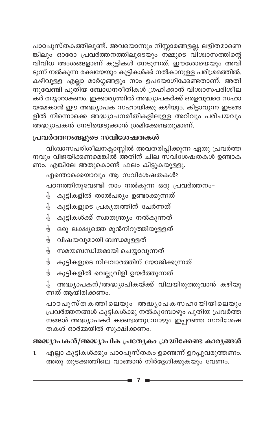പാഠപുസ്തകത്തിലുണ്ട്. അവയൊന്നും നിസ്സാരങ്ങളല്ല. ലളിതമാണെ ങ്കിലും ഓരോ പ്രവർത്തനത്തിലൂടെയും നമ്മുടെ വിശ്വാസത്തിന്റെ വിവിധ അംശങ്ങളാണ് കുട്ടികൾ നേടുന്നത്. ഈശോയെയും അവി ടുന്ന് നൽകുന്ന രക്ഷയേയും കുട്ടികൾക്ക് നൽകാനുള്ള പരിശ്രമത്തിൽ. കഴിവുള്ള എല്ലാ മാർഗ്ഗങ്ങളും നാം ഉപയോഗിക്കേണ്ടതാണ്. അതി നുവേണ്ടി പുതിയ ബോധനരീതികൾ ഗ്രഹിക്കാൻ വിശ്വാസപരിശീല കർ തയ്യാറാകണം. ഇക്കാര്യത്തിൽ അദ്ധ്യാപകർക്ക് ഒരളവുവരെ സഹാ യമേകാൻ ഈ അദ്ധ്യാപക സഹായിക്കു കഴിയും. കിട്ടാവുന്ന ഇടങ്ങ ളിൽ നിന്നൊക്കെ അദ്ധ്യാപനരീതികളിലുള്ള അറിവും പരിചയവും അദ്ധ്യാപകൻ നേടിയെടുക്കാൻ ശ്രമിക്കേണ്ടതുമാണ്.

## പ്രവർത്തനങ്ങളുടെ സവിശേഷതകൾ

വിശ്വാസപരിശീലനക്ലാസ്സിൽ അവതരിപ്പിക്കുന്ന ഏതു പ്രവർത്ത നവും വിജയിക്കണമെങ്കിൽ അതിന് ചില സവിശേഷതകൾ ഉണ്ടാക ണം. എങ്കിലേ അതുകൊണ്ട് ഫലം കിട്ടുകയുള്ളൂ.

എന്തൊക്കെയാവും ആ സവിശേഷതകൾ?

പഠനത്തിനുവേണ്ടി നാം നൽകുന്ന ഒരു പ്രവർത്തനം-

- കുട്ടികളിൽ താൽപര്യം ഉണ്ടാക്കുന്നത്  $\frac{1}{12}$
- $\frac{1}{12}$  കുട്ടികളുടെ പ്രകൃതത്തിന് ചേർന്നത്
- $\frac{1}{12}$ കുട്ടികൾക്ക് സ്വാതന്ത്ര്യം നൽകുന്നത്
- $\frac{1}{12}$ ഒരു ലക്ഷ്യത്തെ മുൻനിറുത്തിയുള്ളത്
- $\frac{1}{12}$  വിഷയവുമായി ബന്ധമുള്ളത്
- $\frac{1}{12}$  സമയബന്ധിതമായി ചെയ്യാവുന്നത്
- $\frac{1}{12}$  കുട്ടികളുടെ നിലവാരത്തിന് യോജിക്കുന്നത്
- കുട്ടികളിൽ വെല്ലുവിളി ഉയർത്തുന്നത്  $\frac{1}{12}$

```
അദ്ധ്യാപകന്/അദ്ധ്യാപികയ്ക്ക് വിലയിരുത്തുവാൻ കഴിയു
\frac{1}{12}ന്നത് ആയിരിക്കണം.
```
പാഠപുസ്തകത്തിലെയും അദ്ധ്യാപകസഹായിയിലെയും പ്രവർത്തനങ്ങൾ കുട്ടികൾക്കു നൽകുമ്പോഴും പുതിയ പ്രവർത്ത നങ്ങൾ അദ്ധ്യാപകർ കണ്ടെത്തുമ്പോഴും ഇപ്പറഞ്ഞ സവിശേഷ തകൾ ഓർമ്മയിൽ സൂക്ഷിക്കണം.

## അദ്ധ്യാപകൻ/അദ്ധ്യാപിക പ്രത്യേകം ശ്രദ്ധിക്കേണ്ട കാര്യങ്ങൾ

എല്ലാ കുട്ടികൾക്കും പാഠപുസ്തകം ഉണ്ടെന്ന് ഉറപ്പുവരുത്തണം. 1. അതു തുടക്കത്തിലെ വാങ്ങാൻ നിർദ്ദേശിക്കുകയും വേണം.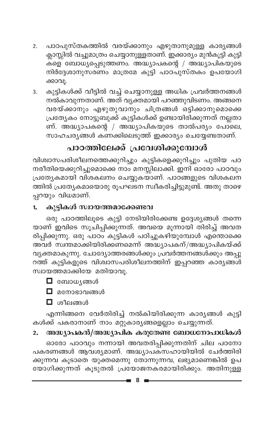- പാഠപുസ്തകത്തിൽ വരയ്ക്കാനും എഴുതാനുമുള്ള കാര്യങ്ങൾ  $2.$ ക്ലാസ്സിൽ വച്ചുമാത്രം ചെയ്യാനുള്ളതാണ്. ഇക്കാര്യം മുൻകൂട്ടി കുട്ടി ്കളെ ബോധ്യപ്പെടുത്തണം. അദ്ധ്യാപകന്റെ / അദ്ധ്യാപികയുടെ നിർദ്ദേശാനുസരണം മാത്രമേ കുട്ടി പാഠപുസ്തകം ഉപയോഗി ക്കാവു.
- കുട്ടികൾക്ക് വീട്ടിൽ വച്ച് ചെയ്യാനുള്ള അധിക പ്രവർത്തനങ്ങൾ 3. നൽകാവുന്നതാണ്. അത് വ്യക്തമായി പറഞ്ഞുവിടണം. അങ്ങനെ വരയ്ക്കാനും എഴുതുവാനും ചിത്രങ്ങൾ ഒട്ടിക്കാനുമൊക്കെ പ്രത്യേകം നോട്ടുബുക്ക് കുട്ടികൾക്ക് ഉണ്ടായിരിക്കുന്നത് നല്ലതാ ണ്. അദ്ധ്യാപകന്റെ / അദ്ധ്യാപികയുടെ താൽപര്യം പോലെ, സാഹചര്യങ്ങൾ കണക്കിലെടുത്ത് ഇക്കാര്യം ചെയ്യേണ്ടതാണ്.

## പാഠത്തിലേക്ക് പ്രവേശിക്കുമ്പോൾ

വിശ്വാസപരിശീലനത്തെക്കുറിച്ചും കുട്ടികളെക്കുറിച്ചും പുതിയ പഠ നരീതിയെക്കുറിച്ചുമൊക്കെ നാം മനസ്സിലാക്കി. ഇനി ഓരോ പാഠവും പ്രത്യേകമായി വിശകലനം ചെയ്യുകയാണ്. പാഠങ്ങളുടെ വിശകലന ത്തിൽ പ്രത്യേകമായൊരു രൂപഘടന സ്ഥീകരിച്ചിട്ടുമുണ്ട്. അതു താഴെ പ്പറയും വിധമാണ്.

#### കുട്ടികൾ സ്വായത്തമാക്കേണ്ടവ 1.

ഒരു പാഠത്തിലൂടെ കുട്ടി നേടിയിരിക്കേണ്ട ഉദ്ദേശ്യങ്ങൾ തന്നെ യാണ് ഇവിടെ സൂചിപ്പിക്കുന്നത്. അവയെ മൂന്നായി തിരിച്ച് അവത രിപ്പിക്കുന്നു. ഒരു പാഠം കുട്ടികൾ പഠിച്ചുകഴിയുമ്പോൾ എന്തൊക്കെ അവർ സ്വന്തമാക്കിയിരിക്കണമെന്ന് അദ്ധ്യാപകന്/അദ്ധ്യാപികയ്ക്ക് വ്യക്തമാകുന്നു. ചോദ്യോത്തരങ്ങൾക്കും പ്രവർത്തനങ്ങൾക്കും അപ്പു റത്ത് കുട്ടികളുടെ വിശ്വാസപരിശീലനത്തിന് ഇപ്പറഞ്ഞ കാര്യങ്ങൾ സ്വായത്തമാക്കിയേ മതിയാവു.

 $\Box$  ബോധ്യങ്ങൾ

 $\Box$  മനോഭാവങ്ങൾ

 $\Box$  ശീലങ്ങൾ

എന്നിങ്ങനെ വേർതിരിച്ച് നൽകിയിരിക്കുന്ന കാര്യങ്ങൾ കുട്ടി കൾക്ക് പകരാനാണ് നാം മറ്റുകാര്യങ്ങളെല്ലാം ചെയ്യുന്നത്.

### അദ്ധ്യാപകൻ/അദ്ധ്യാപിക കരുതേണ്ട ബോധനോപാധികൾ  $2.$

ഓരോ പാഠവും നന്നായി അവതരിപ്പിക്കുന്നതിന് ചില പഠനോ പകരണങ്ങൾ ആവശ്യമാണ്. അദ്ധ്യാപകസഹായിയിൽ ചേർത്തിരി ക്കുന്നവ കൂടാതെ യുക്തമെന്നു തോന്നുന്നവ, ലഭ്യമാണെങ്കിൽ ഉപ യോഗിക്കുന്നത് കൂടുതൽ പ്രയോജനകരമായിരിക്കും. അതിനുള്ള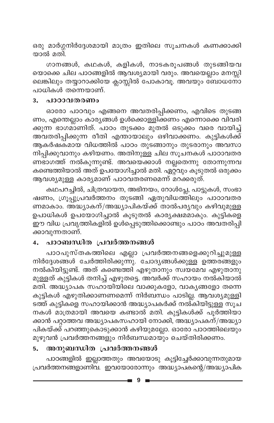ഒരു മാർഗ്ഗനിർദ്ദേശമായി മാത്രം ഇതിലെ സൂചനകൾ കണക്കാക്കി യാൽ മതി.

ഗാനങ്ങൾ, കഥകൾ, കളികൾ, നാടകരൂപങ്ങൾ തുടങ്ങിയവ യൊക്കെ ചില പാഠങ്ങളിൽ ആവശ്യമായി വരും. അവയെല്ലാം മനസ്സി ലെങ്കിലും തയ്യാറാക്കിയേ ക്ലാസ്സിൽ പോകാവൂ. അവയും ബോധനോ പാധികൾ തന്നെയാണ്.

#### പാഠാവതരണം з.

ഓരോ പാഠവും എങ്ങനെ അവതരിപ്പിക്കണം, എവിടെ തുടങ്ങ ണം, എന്തെല്ലാം കാര്യങ്ങൾ ഉൾക്കൊള്ളിക്കണം എന്നൊക്കെ വിവരി ക്കുന്ന ഭാഗമാണിത്. പാഠം തുടക്കം മുതൽ ഒടുക്കം വരെ വായിച്ച് അവതരിപ്പിക്കുന്ന രീതി എന്തായാലും ഒഴിവാക്കണം. കുട്ടികൾക്ക് ആകർഷകമായ വിധത്തിൽ പാഠം തുടങ്ങാനും തുടരാനും അവസാ നിപ്പിക്കുവാനും കഴിയണം. അതിനുള്ള ചില സൂചനകൾ പാഠാവതര ണഭാഗത്ത് നൽകുന്നുണ്ട്. അവയെക്കാൾ നല്ലതെന്നു തോന്നുന്നവ കണ്ടെത്തിയാൽ അത് ഉപയോഗിച്ചാൽ മതി. ഏറ്റ്വും കൂടുതൽ ഒരുക്കം ആവശ്യമുള്ള കാര്യമാണ് പാഠവതരണമെന്ന് മറക്കരുത്.

കഥപറച്ചിൽ, ചിത്രവായന, അഭിനയം, റോൾപ്ലേ, പാട്ടുകൾ, സംഭാ ഷണം, ഗ്രൂപ്പുപ്രവർത്തനം തുടങ്ങി ഏതുവിധത്തിലും പാഠാവതര ണമാകാം. അദ്ധ്യാകന്/അദ്ധ്യാപികയ്ക്ക് താൽപര്യവും കഴിവുമുള്ള ഉപാധികൾ ഉപയോഗിച്ചാൽ കൂടുതൽ കാര്യക്ഷമമാകും. കുട്ടികളെ ഈ വിധ പ്രവൃത്തികളിൽ ഉൾപ്പെടുത്തിക്കൊണ്ടും പാഠം അവതരിപ്പി ക്കാവുന്നതാണ്.

### 4. പാഠബന്ധിത പ്രവർത്തനങ്ങൾ

പാഠപുസ്തകത്തിലെ എല്ലാ പ്രവർത്തനങ്ങളെക്കുറിച്ചുമുള്ള നിർദ്ദേശങ്ങൾ ചേർത്തിരിക്കുന്നു. ചോദ്യങ്ങൾക്കുള്ള ഉത്തരങ്ങളും നൽകിയിട്ടുണ്ട്. അത് കണ്ടെത്തി എഴുതാനും സ്വയമേവ എഴുതാനു മുള്ളത് കുട്ടികൾ തനിച്ച് എഴുതട്ടെ. അവർക്ക് സഹായം നൽകിയാൽ മതി. അദ്ധ്യാപക സഹായിയിലെ വാക്കുകളോ, വാക്യങ്ങളോ തന്നെ കുട്ടികൾ എഴുതിക്കാണണമെന്ന് നിർബന്ധം പാടില്ല. ആവശ്യമുള്ളി ടത്ത് കുട്ടികളെ സഹായിക്കാൻ അദ്ധ്യാപകർക്ക് നൽ്കിയിട്ടുള്ള സൂച നകൾ മാത്രമായി അവയെ കണ്ടാൽ മതി. കുട്ടികൾക്ക് പൂർത്തിയാ ക്കാൻ പറ്റാത്തവ അദ്ധ്യാപകസഹായി നോക്കി, അദ്ധ്യാപകന്/അദ്ധ്യാ പികയ്ക്ക് പറഞ്ഞുകൊടുക്കാൻ കഴിയുമല്ലോ. ഓരോ പാഠത്തിലെയും മുഴുവൻ പ്രവർത്തനങ്ങളും നിർബന്ധമായും ചെയ്തിരിക്കണം.

#### അനുബന്ധിത പ്രവർത്തനങ്ങൾ 5.

പാഠങ്ങളിൽ ഇല്ലാത്തതും അവയോടു കൂട്ടിച്ചേർക്കാവുന്നതുമായ പ്രവർത്തനങ്ങളാണിവ. ഇവയോരോന്നും അദ്ധ്യാപകന്റെ/അദ്ധ്യാപിക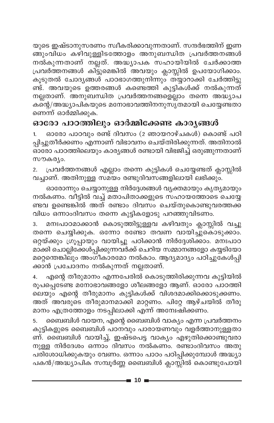യുടെ ഇഷ്ടാനുസരണം സ്വീകരിക്കാവുന്നതാണ്. സന്ദർഭത്തിന് ഇണ ങ്ങുംവിധം കഴിവുള്ളിടത്തോളം അനുബന്ധിത പ്രവർത്തനങ്ങൾ നൽകുന്നതാണ് നല്ലത്. അദ്ധ്യാപക സഹായിയിൽ ചേർക്കാത്ത പ്രവർത്തനങ്ങൾ കിട്ടുമെങ്കിൽ അവയും ക്ലാസ്സിൽ ഉപയോഗിക്കാം. കൂടുതൽ ചോദ്യങ്ങൾ പാഠഭാഗത്തുനിന്നും ത്യ്യാറാക്കി ചേർത്തിട്ടു ണ്ട്. അവയുടെ ഉത്തരങ്ങൾ കണ്ടെത്തി കുട്ടികൾക്ക് നൽകുന്നത് നല്ലതാണ്. അനുബന്ധിത പ്രവർത്തനങ്ങളെല്ലാം തന്നെ അദ്ധ്യാപ കന്റെ/അദ്ധ്യാപികയുടെ മനോഭാവത്തിനനുസൃതമായി ചെയ്യേണ്ടതാ ണെന്ന് ഓർമ്മിക്കുക.

## ഓരോ പാഠത്തിലും ഓർമ്മിക്കേണ്ട കാരൃങ്ങൾ

ഓരോ പാഠവും രണ്ട് ദിവസം (2 ഞായറാഴ്ചകൾ) കൊണ്ട് പഠി  $1.$ പ്പിച്ചുതീർക്കണം എന്നാണ് വിഭാവനം ചെയ്തിരിക്കുന്നത്. അതിനാൽ .<br>ഓരോ പാഠത്തിലെയും കാര്യങ്ങൾ രണ്ടായി വിഭജിച്ച് ഒരുങ്ങുന്നതാണ് സൗകര്യം.

പ്രവർത്തനങ്ങൾ എല്ലാം തന്നെ കുട്ടികൾ ചെയ്യേണ്ടത് ക്ലാസ്സിൽ 2. വച്ചാണ്. അതിനുള്ള സമയം രണ്ടുദിവസങ്ങളിലായി ലഭിക്കും.

ഓരോന്നും ചെയ്യാനുള്ള നിർദ്ദേശങ്ങൾ വ്യക്തമായും കൃത്യമായും നൽകണം. വീട്ടിൽ വച്ച് മതാപിതാക്കളുടെ സഹായത്തോടെ ചെയ്യേ ണ്ടവ ഉണ്ടെങ്കിൽ അത് രണ്ടാം ദിവസം ചെയ്തുകൊണ്ടുവരത്തക്ക വിധം ഒന്നാംദിവസം തന്നെ കുട്ടികളോടു പറഞ്ഞുവിടണം.

മനഃപാഠമാക്കാൻ കൊടുത്തിട്ടുള്ളവ കഴിവതും ക്ലാസ്സിൽ വച്ചു 3. തന്നെ ചെയ്യിക്കുക. ഒന്നോ രണ്ടോ തവണ വായിച്ചുകൊടുക്കാം. ഒറ്റയ്ക്കും ഗ്രൂപ്പായും വായിച്ചു പഠിക്കാൻ നിർദ്ദേശിക്കാം. മനഃപാഠ മാക്കി ചൊല്ലിക്കേൾപ്പിക്കുന്നവർക്ക് ചെറിയ സമ്മാനങ്ങളോ കയ്യടിയോ മറ്റെന്തെങ്കിലും അംഗീകാരമോ നൽകാം. ആദ്യമാദ്യം പഠിച്ചുകേൾപ്പി ക്കാൻ പ്രചോദനം നൽകുന്നത് നല്ലതാണ്.

എന്റെ തീരുമാനം എന്നപേരിൽ കൊടുത്തിരിക്കുന്നവ കുട്ടിയിൽ 4. രൂപപ്പെടേണ്ട മനോഭാവങ്ങളോ ശീലങ്ങളോ ആണ്. ഓരോ പാഠത്തി ലെയും എന്റെ തീരുമാനം കുട്ടികൾക്ക് വിശദമാക്കിക്കൊടുക്കണം. അത് അവരുടെ തീരുമാനമാക്കി മാറ്റണം. പിറ്റേ ആഴ്ചയിൽ തീരു മാനം എത്രത്തോളം നടപ്പിലാക്കി എന്ന് അന്വേഷിക്കണം.

5. ബൈബിൾ വായന, എന്റെ ബൈബിൾ വാക്യം എന്ന പ്രവർത്തനം കുട്ടികളുടെ ബൈബിൾ പഠനവും പാരായണവും വളർത്താനുള്ളതാ ണ്. ബൈബിൾ വായിച്ച്, ഇഷ്ടപെട്ട വാക്യം എഴുതിക്കൊണ്ടുവരാ നുള്ള നിർദേശം ഒന്നാം ദിവസം നൽകണം. രണ്ടാംദിവസം അതു പരിശോധിക്കുകയും വേണം. ഒന്നാം പാഠം പഠിപ്പിക്കുമ്പോൾ അദ്ധ്യാ പകൻ/അദ്ധ്യാപിക സമ്പൂർണ്ണ ബൈബിൾ ക്ലാസ്സിൽ കൊണ്ടുപോയി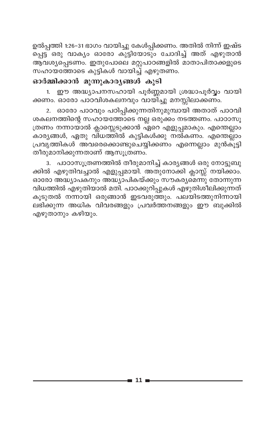ഉൽപ്പത്തി 1:26–31 ഭാഗം വായിച്ചു കേൾപ്പിക്കണം. അതിൽ നിന്ന് ഇഷ്ട പ്പെട്ട ഒരു വാക്യം ഓരോ കുട്ടിയോടും ചോദിച്ച് അത് എഴുതാൻ ആവശ്യപ്പെടണം. ഇതുപോലെ മറ്റുപാഠങ്ങളിൽ മാതാപിതാക്കളുടെ സഹായത്തോടെ കുട്ടികൾ വായിച്ച് എഴുതണം.

### ഓർമ്മിക്കാൻ മുന്നുകാര്യങ്ങൾ കൂടി

1. ഈ അദ്ധ്യാപനസഹായി പൂർണ്ണമായി ശ്രദ്ധാപൂർവ്വം വായി ക്കണം. ഓരോ പാഠവിശകലനവും വായിച്ചു മനസ്സിലാക്കണം.

2. ഓരോ പാഠവും പഠിപ്പിക്കുന്നതിനുമുമ്പായി അതാത് പാഠവി ശകലനത്തിന്റെ സഹായത്തോടെ നല്ല ഒരുക്കം നടത്തണം. പാഠാസൂ ത്രണം നന്നായാൽ ക്ലാസ്സെടുക്കാൻ ഏറെ എളുപ്പമാകും. എന്തെല്ലാം കാര്യങ്ങൾ, ഏതു വി്ധത്തിൽ കുട്ടികൾക്കു നൽകണം. എന്തെല്ലാം പ്രവൃത്തികൾ അവരെക്കൊണ്ടുചെയ്യിക്കണം എന്നെല്ലാം മുൻകൂട്ടി തീരുമാനിക്കുന്നതാണ് ആസൂത്രണം.

3. പാഠാസൂത്രണത്തിൽ തീരുമാനിച്ച് കാര്യങ്ങൾ ഒരു നോട്ടുബു ക്കിൽ എഴുതിവച്ചാൽ എളുപ്പമായി. അതുനോക്കി ക്ലാസ്സ് നയിക്കാം. ഓരോ അദ്ധ്യാപകനും അദ്ധ്യാപികയ്ക്കും സൗകര്യമെന്നു തോന്നുന്ന വിധത്തിൽ എഴുതിയാൽ മതി. പാഠക്കുറിപ്പുകൾ എഴുതിശീലിക്കുന്നത് കൂടുതൽ നന്നായി ഒരുങ്ങാൻ ഇടവരുത്തും. പലയിടത്തുനിന്നായി ലഭിക്കുന്ന അധിക വിവരങ്ങളും പ്രവർത്തനങ്ങളും ഈ ബുക്കിൽ എഴുതാനും കഴിയും.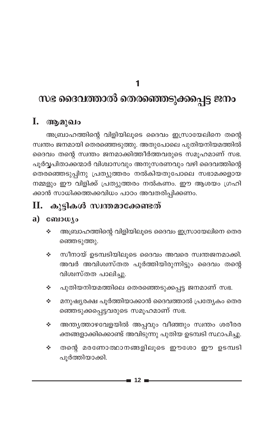$\blacksquare$ 

# സഭ ദൈവത്താൽ തെരഞ്ഞെടുക്കപ്പെട്ട ജനം

## I. ആമുഖം

അബ്രാഹത്തിന്റെ വിളിയിലൂടെ ദൈവം ഇസ്രായേലിനെ തന്റെ സ്വന്തം ജനമായി തെരഞ്ഞെടുത്തു. അതുപോലെ പുതിയനിയമത്തിൽ ദൈവം തന്റെ സ്ഥതം ജനമാക്കിത്തീർത്തവരുടെ സമൂഹമാണ് സഭ. പൂർ<mark>വ്വ</mark>പിതാക്കന്മാർ വിശ്വാസവും അനുസരണവും വഴി ദൈവത്തിന്റെ തെരഞ്ഞെടുപ്പിനു പ്രത്യുത്തരം നൽകിയതുപോലെ സഭാമക്കളായ നമ്മളും ഈ വിളിക്ക് പ്രത്യുത്തരം നൽകണം. ഈ ആശയം ഗ്രഹി ക്കാൻ സാധിക്കത്തക്കവിധം പാഠം അവതരിപ്പിക്കണം.

## $\mathbf{II.}$  കുട്ടികൾ സ്വന്തമാക്കേണ്ടത്

## $a)$  comowyo

- അബ്രാഹത്തിന്റെ വിളിയിലൂടെ ദൈവം ഇസ്രായേലിനെ തെര ÷. ഞ്ഞെടുത്തു.
- സീനായ് ഉടമ്പടിയിലൂടെ ദൈവം അവരെ സ്വന്തജനമാക്കി. ÷ അവർ അവിശ്വസ്തത പുർത്തിയിരുന്നിട്ടും ദൈവം തന്റെ വിശ്വസ്തത പാലിച്ചു.
- പുതിയനിയമത്തിലെ തെരഞ്ഞെടുക്കപ്പട്ട ജനമാണ് സഭ. ÷
- മനുഷ്യരക്ഷ പൂർത്തിയാക്കാൻ ദൈവത്താൽ പ്രത്യേകം തെര ÷ ഞ്ഞെടുക്കപ്പെട്ടവരുടെ സമൂഹമാണ് സഭ.
- അന്ത്യത്താഴവേളയിൽ അപ്പവും വീഞ്ഞും സ്വന്തം ശരീരര  $\sigma_{\rm eff}^{\rm th}$ ക്തങ്ങളാക്കിക്കൊണ്ട് അവിടുന്നു പുതിയ ഉടമ്പടി സ്ഥാപിച്ചു.
- തന്റെ മരണോത്ഥാനങ്ങളിലൂടെ ഈശോ ഈ ഉടമ്പടി  $\sigma_{\rm eff}^{\rm th}$ പൂർത്തിയാക്കി.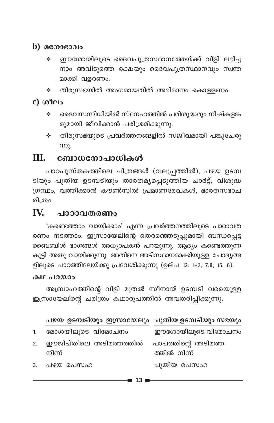### $\mathbf b$ )  $\mathbf a$  and  $\mathbf a$

- ഈശോയിലൂടെ ദൈവപുത്രസ്ഥാനത്തേയ്ക്ക് വിളി ലഭിച്ച ÷ നാം അവിടുത്തെ രക്ഷയും ദൈവപുത്രസ്ഥാനവും സ്വന്ത മാക്കി വളരണം.
- തിരുസഭയിൽ അംഗമായതിൽ അഭിമാനം കൊള്ളണം. ÷

### $c)$  ശീലം

- ദൈവസന്നിധിയിൽ സ്നേഹത്തിൽ പരിശുദ്ധരും നിഷ്കളങ്ക  $\frac{1}{2}$ രുമായി ജീവിക്കാൻ പരിശ്രമിക്കുന്നു.
- തിരുസഭയുടെ പ്രവർത്തനങ്ങളിൽ സജീവമായി പങ്കുചേരു ÷  $\langle$  m.

#### ബോധനോപാധികൾ III.

പാഠപുസ്തകത്തിലെ ചിത്രങ്ങൾ (വലുപ്പത്തിൽ), പഴയ ഉടമ്പ ടിയും പുതിയ ഉടമ്പടിയും താരതമൃപ്പെടുത്തിയ ചാർട്ട്, വിശുദ്ധ ഗ്രന്ഥം, വത്തിക്കാൻ കൗൺസിൽ പ്രമാണരേഖകൾ, ഭാരതസഭാച രിത്രം

#### IV. പാറാവതരണം

'കണ്ടെത്താം വായിക്കാം' എന്ന പ്രവർത്തനത്തിലൂടെ പാഠാവത രണം നടത്താം. ഇസ്രായേലിന്റെ തെരഞ്ഞെടുപ്പുമായി ബന്ധപ്പെട്ട ബൈബിൾ ഭാഗങ്ങൾ അധ്യാപകൻ പറയുന്നു. ആദ്യം കണ്ടെത്തുന്ന കുട്ടി അതു വായിക്കുന്നു. അതിനെ അടിസ്ഥാനമാക്കിയുള്ള ചോദ്യങ്ങ ളിലൂടെ പാഠത്തിലേയ്ക്കു പ്രവേശിക്കുന്നു (ഉല്പ 12: 1-2, 7,8; 15: 6).

### കഥ പറയാം

അബ്രാഹത്തിന്റെ വിളി മുതൽ സീനായ് ഉടമ്പടി വരെയുള്ള ഇസ്രായേലിന്റെ ചരിത്രം കഥാരൂപത്തിൽ അവതരിപ്പിക്കുന്നു.

|    | പഴയ ഉടമ്പടിയും ഇസ്രായേലും പുതിയ ഉടമ്പടിയും സഭയും |                                     |
|----|--------------------------------------------------|-------------------------------------|
| 1. | മോശയിലൂടെ വിമോചനം                                | ഈശോയിലൂടെ വിമോചനം                   |
| 2. | ഈജിപ്തിലെ അടിമത്തത്തിൽ<br>നിന്ന്                 | പാപത്തിന്റെ അടിമത്ത<br>ത്തിൽ നിന്ന് |
| 3. | പഴയ പെസഹ                                         | പുതിയ പെസഹ                          |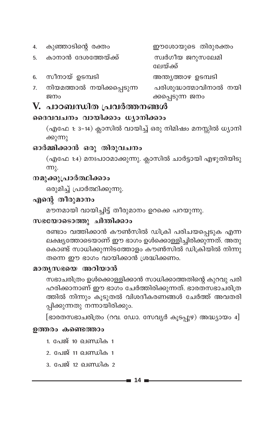- കുഞ്ഞാടിന്റെ രക്തം  $\overline{4}$ .
- കാനാൻ ദേശത്തേയ്ക്ക് 5
- സീനായ് ഉടമ്പടി 6.
- നിയമത്താൽ നയിക്കപ്പെടുന്ന  $\overline{7}$ . ജനം
- V. പാഠബന്ധിത പ്രവർത്തനങ്ങൾ

## ദൈവവചനം വായിക്കാം ധ്യാനിക്കാം

(എഫേ 1: 3–14) ക്ലാസിൽ വായിച്ച് ഒരു നിമിഷം മനസ്സിൽ ധ്യാനി ക്കുന്നു

### ഓർമ്മിക്കാൻ ഒരു തിരുവചനം

(എഫേ 1:4) മനഃപാഠമാക്കുന്നു. ക്ലാസിൽ ചാർട്ടായി എഴുതിയിടു  $π$ ).

### നമുക്കുപ്രാർത്ഥിക്കാം

ഒരുമിച്ച് പ്രാർത്ഥിക്കുന്നു.

### എന്റെ തീരുമാനം

മൗനമായി വായിച്ചിട്ട് തീരുമാനം ഉറക്കെ പറയുന്നു.

## സഭയോടൊത്തു ചിന്തിക്കാം

രണ്ടാം വത്തിക്കാൻ കൗൺസിൽ ഡിക്രി പരിചയപ്പെടുക എന്ന ലക്ഷ്യത്തോടെയാണ് ഈ ഭാഗം ഉൾക്കൊള്ളിച്ചിരിക്കുന്നത്. അതു കൊണ്ട് സാധിക്കുന്നിടത്തോളം കൗൺസിൽ ഡിക്രിയിൽ നിന്നു തന്നെ ഈ ഭാഗം വായിക്കാൻ ശ്രദ്ധിക്കണം.

### മാതൃസഭയെ അറിയാൻ

സഭാചരിത്രം ഉൾക്കൊള്ളിക്കാൻ സാധിക്കാത്തതിന്റെ കുറവു പരി ഹരിക്കാനാണ് ഈ ഭാഗം ചേർത്തിരിക്കുന്നത്. ഭാരതസഭാചരിത്ര ത്തിൽ നിന്നും കൂടുതൽ വിശദീകരണങ്ങൾ ചേർത്ത് അവതരി പ്പിക്കുന്നതു നന്നായിരിക്കും.

[ഭാരതസഭാചരിത്രം (റവ. ഡോ. സേവ്യർ കൂടപ്പുഴ) അദ്ധ്യായം 4]

### ഉത്തരം കണ്ടെത്താം

- 1. പേജ് 10 **ഖണ്ഡിക** 1
- 2. പേജ് 11 ഖണ്ഡിക 1
- 3. പേജ് 12 **ഖണ്ഡിക** 2

-∎ 14 i

ഈശോയുടെ തിരുരക്തം

സ്വർഗീയ ജറുസലേമി

ലേയ്ക്ക്

അന്ത്യത്താഴ ഉടമ്പടി

പരിശുദ്ധാത്മാവിനാൽ നയി ക്കപ്പെടുന്ന ജനം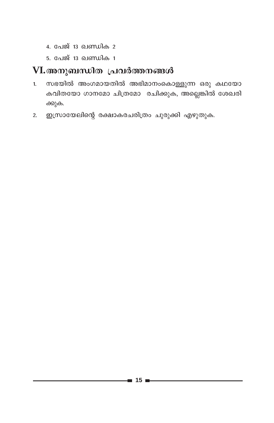- 4. പേജ് 13 ഖണ്ഡിക 2
- <u>5. പേജ് 13 ഖണ്ഡിക 1</u>

## VI. അനുബന്ധിത പ്രവർത്തനങ്ങൾ

- 1. സഭയിൽ അംഗമായതിൽ അഭിമാനംകൊള്ളുന്ന ഒരു കഥയോ കവിതയോ ഗാനമോ ചിത്രമോ രചിക്കുക, അല്ലെങ്കിൽ ശേഖരി ക്കുക.
- 2. ഇസ്രായേലിന്റെ രക്ഷാകരചരിത്രം ചുരുക്കി എഴുതുക.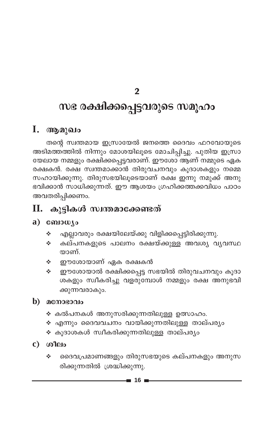$\mathfrak{p}$ 

# സഭ രക്ഷിക്കപ്പെട്ടവരുടെ സമൂഹം

## I. **ആമു**ഖം

തന്റെ സ്വന്തമായ ഇസ്രായേൽ ജനത്തെ ദൈവം ഫറവോയുടെ .<br>അടിമത്തത്തിൽ നിന്നും മോശയിലൂടെ മോചിപ്പിച്ചു. പുതിയ ഇസ്രാ യേലായ നമ്മളും രക്ഷിക്കപ്പെട്ടവരാണ്. ഈശോ ആണ് നമ്മുടെ ഏക രക്ഷകൻ. രക്ഷ സ്വന്തമാക്കാൻ തിരുവചനവും കൂദാശകളും നമ്മെ സഹായിക്കുന്നു. തിരുസഭയിലൂടെയാണ് രക്ഷ ഇന്നു നമുക്ക് അനു ഭവിക്കാൻ സാധിക്കുന്നത്. ഈ ആശയം ഗ്രഹിക്കത്തക്കവിധം പാഠം അവതരിപ്പിക്കണം.

## II. കുട്ടികൾ സ്വന്തമാക്കേണ്ടത്

## a)  $\cos\omega$

- എല്ലാവരും രക്ഷയിലേയ്ക്കു വിളിക്കപ്പെട്ടിരിക്കുന്നു. ÷
- കല്പനകളുടെ പാലനം രക്ഷയ്ക്കുള്ള അവശ്യ വ്യവസ്ഥ **Bellin** താണ്.
- ∻ ഈശോയാണ് ഏക രക്ഷകൻ
- ഈശോയാൽ രക്ഷിക്കപ്പെട്ട സഭയിൽ തിരുവചനവും കൂദാ **AND** ശകളും സ്വീകരിച്ചു വളരുമ്പോൾ നമ്മളും രക്ഷ അനുഭവി ക്കുന്നവരാകും.

### $\mathbf b$ ) മനോഭാവം

- ∻ കൽപനകൾ അനുസരിക്കുന്നതിലുള്ള ഉത്സാഹം.
- ❖ എന്നും ദൈവവചനം വായിക്കുന്നതിലുള്ള താല്പര്യം
- ∻ കൂദാശകൾ സ്വീകരിക്കുന്നതിലുള്ള താല്പര്യം
- $c)$   $\omega$   $\omega$ 
	- ദൈവപ്രമാണങ്ങളും തിരുസഭയുടെ കല്പനകളും അനുസ  $\frac{1}{2}$ രിക്കുന്നതിൽ ശ്രദ്ധിക്കുന്നു.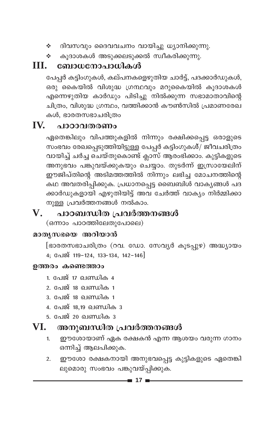- ❖ ദിവസവും ദൈവവചനം വായിച്ചു ധ്യാനിക്കുന്നു.
- ❖ കൂദാശകൾ അടുക്കലടുക്കൽ സ്ഥീകരിക്കുന്നു.

#### ബോധനോപാധികൾ III.

പേപ്പർ കട്ടിംഗുകൾ, കല്പനകളെഴുതിയ ചാർട്ട്, പദക്കാർഡുകൾ, ഒരു കൈയിൽ വിശുദ്ധ ഗ്രന്ഥവും മറുകൈയിൽ കൂദാശകൾ എന്നെഴുതിയ കാർഡും പിടിച്ചു നിൽക്കുന്ന സഭാമാതാവിന്റെ ചിത്രം, വിശുദ്ധ ഗ്രന്ഥം, വത്തിക്കാൻ കൗൺസിൽ പ്രമാണരേഖ കൾ, ഭാരതസഭാചരിത്രം

#### IV. പാഠാവതരണം

ഏതെങ്കിലും വിപത്തുകളിൽ നിന്നും രക്ഷിക്കപ്പെട്ട ഒരാളുടെ സംഭവം രേഖപ്പെടുത്തിയിട്ടുള്ള പേപ്പർ കട്ടിംഗുകൾ്/ ജീവചരിത്രം വായിച്ച് ചർച്ച ചെയ്തുകൊണ്ട് ക്ലാസ് ആരംഭിക്കാം. കുട്ടികളുടെ അനുഭവം പങ്കുവയ്ക്കുകയും ചെയ്യാം. തുടർന്ന് ഇസ്രായേലിന് ഈജിപ്തിന്റെ അടിമത്തത്തിൽ നിന്നും ലഭിച്ച മോചനത്തിന്റെ കഥ അവതരിപ്പിക്കുക. പ്രധാനപ്പെട്ട ബൈബിൾ വാകൃങ്ങൾ പദ ക്കാർഡുകളായി എഴുതിയിട്ട് അവ ചേർത്ത് വാക്യം നിർമ്മിക്കാ നുള്ള പ്രവർത്തനങ്ങൾ നൽകാം.

#### പാഠബന്ധിത പ്രവർത്തനങ്ങൾ  ${\bf V}_{\cdot}$

(ഒന്നാം പാഠത്തിലേതുപോലെ)

## മാതൃസഭയെ അറിയാൻ

[ഭാരതസഭാചരിത്രം (റവ. ഡോ. സേവൃർ കൂടപ്പുഴ) അദ്ധ്യായം 4; പേജ് 119-124, 133-134, 142-146]

### ഉത്തരം കണ്ടെത്താം

- 1. പേജ് 17 ഖണ്ഡിക 4
- 2. പേജ് 18 ഖണ്ഡിക 1
- <u>3. പേജ് 18 ഖണ്ഡിക 1</u>
- 4. പേജ് 18,19 ഖണ്ഡിക 3
- <u>5. പേജ് 20 ഖണ്ഡിക 3</u>

## VI. അനുബന്ധിത പ്രവർത്തനങ്ങൾ

- ഈശോയാണ് ഏക രക്ഷകൻ എന്ന ആശയം വരുന്ന ഗാനം  $1<sup>1</sup>$ ഒന്നിച്ച് ആലപിക്കുക.
- 2. ഈശോ രക്ഷകനായി അനുഭവപ്പെട്ട കുട്ടികളുടെ ഏതെങ്കി ലുമൊരു സംഭവം പങ്കുവയ്പ്പിക്കുക.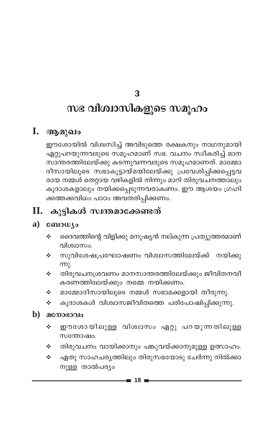3

# സഭ വിശ്വാസികളുടെ സമൂഹം

## I. ആമുഖം

ഈശോയിൽ വിശ്വസിച്ച് അവിടുത്തെ രക്ഷകനും നാഥനുമായി ഏറ്റുപറയുന്നവരുടെ സമൂഹമാണ് സഭ. വചനം സ്ഥീകരിച്ച് മാന സാന്തരത്തിലേയ്ക്കു കടന്നുവന്നവരുടെ സമൂഹമാണത്. മാമ്മോ ദീസായിലൂടെ സഭാകൂട്ടായ്മയിലേയ്ക്കു പ്രവേശിപ്പിക്കപ്പെട്ടവ രായ നമ്മൾ തെറ്റായ വഴികളിൽ നിന്നും മാറി തിരുവചനത്താലും കൂദാശകളാലും നയിക്കപ്പെടുന്നവരാകണം. ഈ ആശയം ഗ്രഹി ക്കത്തക്കവിധം പാഠം അവതരിപ്പിക്കണം.

## $\mathbf{II.}$  കുട്ടികൾ സ്വന്തമാക്കേണ്ടത്

### a)  $\omega_{\text{10}}$

- ദൈവത്തിന്റെ വിളിക്കു മനുഷ്യൻ നല്കുന്ന പ്രത്യുത്തരമാണ് ÷ വിശ്വാസം.
- സുവിശേഷപ്രഘോഷണം വിശ്വാസത്തിലേയ്ക്ക് നയിക്കു ÷  $π$ )
- തിരുവചനശ്രവണം മാനസാന്തരത്തിലേയ്ക്കും ജീവിതനവീ ❖ കരണത്തിലേയ്ക്കും നമ്മെ നയിക്കണം.
- മാമ്മോദീസായിലൂടെ നമ്മൾ സഭാമക്കളായി തീരുന്നു. ÷
- കൂദാശകൾ വിശ്വാസജീവിതത്തെ പരിപോഷിപ്പിക്കുന്നു. ٠

### $\mathbf b)$  acmosoolo

- ഈശോയിലുള്ള വിശ്വാസം ഏറ്റു പറയുന്നതിലുള്ള  $\frac{1}{2}$ സന്തോഷം.
- തിരുവചനം വായിക്കാനും പങ്കുവയ്ക്കാനുമുള്ള ഉത്സാഹം. ÷
- ഏതു സാഹചര്യത്തിലും തിരുസഭയോടു ചേർന്നു നിൽക്കാ ÷ നുള്ള താൽപര്യം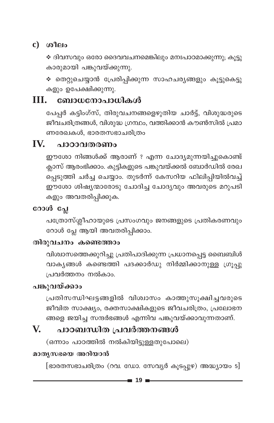## $c)$  ശീലം

❖ ദിവസവും ഒരോ ദൈവവചനമെങ്കിലും മനഃപാഠമാക്കുന്നു; കൂട്ടു കാരുമായി പങ്കുവയ്ക്കുന്നു.

❖ തെറ്റുചെയ്യാൻ പ്രേരിപ്പിക്കുന്ന സാഹചര്യങ്ങളും കൂട്ടുകെട്ടു കളും ഉപേക്ഷിക്കുന്നു.

#### III. ബോധനോപാധികൾ

പേപ്പർ കട്ടിംഗ്സ്, തിരുവചനങ്ങളെഴുതിയ ചാർട്ട്, വിശുദ്ധരുടെ ജീവചരിത്രങ്ങൾ, വിശുദ്ധ ഗ്രന്ഥം, വത്തിക്കാൻ കൗൺസിൽ പ്രമാ ണരേഖകൾ, ഭാരതസഭാചരിത്രം

#### IV. പാഠാവതരണം

ഈശോ നിങ്ങൾക്ക് ആരാണ് ? എന്ന ചോദ്യമുന്നയിച്ചുകൊണ്ട് ക്ലാസ് ആരംഭിക്കാം. കുട്ടികളുടെ പങ്കുവയ്ക്കൽ ബോർഡിൽ രേഖ പ്പെടുത്തി ചർച്ച ചെയ്യാം. തുടർന്ന് കേസറിയ ഫിലിപ്പിയിൽവച്ച് ഈശോ ശിഷ്യന്മാരോടു ചോദിച്ച ചോദ്യവും അവരുടെ മറുപടി കളും അവതരിപ്പിക്കുക.

## റോൾ പ്ലേ

പത്രോസ്ശ്ലീഹായുടെ പ്രസംഗവും ജനങ്ങളുടെ പ്രതികരണവും റോൾ പ്ലേ ആയി അവതരിപ്പിക്കാം.

### തിരുവചനം കണ്ടെത്താം

വിശ്വാസത്തെക്കുറിച്ചു പ്രതിപാദിക്കുന്ന പ്രധാനപ്പെട്ട ബൈബിൾ വാക്യങ്ങൾ കണ്ടെത്തി പദക്കാർഡു നിർമ്മിക്കാനുള്ള ഗ്രൂപ്പു പ്രവർത്തനം നൽകാം.

## പങ്കുവയ്ക്കാം

പ്രതിസന്ധിഘട്ടങ്ങളിൽ വിശ്വാസം കാത്തുസൂക്ഷിച്ചവരുടെ ജീവിത സാക്ഷ്യം, രക്തസാക്ഷികളുടെ ജീവചരിത്രം, പ്രലോഭന ങ്ങളെ ജയിച്ച സന്ദർഭങ്ങൾ എന്നിവ പങ്കുവയ്ക്കാവുന്നതാണ്.

#### പാഠബന്ധിത പ്രവർത്തനങ്ങൾ V.

(ഒന്നാം പാഠത്തിൽ നൽകിയിട്ടുള്ളതുപോലെ)

### മാതൃസഭയെ അറിയാൻ

 $[$ ഭാരതസഭാചരിത്രം (റവ. ഡോ. സേവ്യർ കൂടപ്പുഴ) അദ്ധ്യായം 5 $]$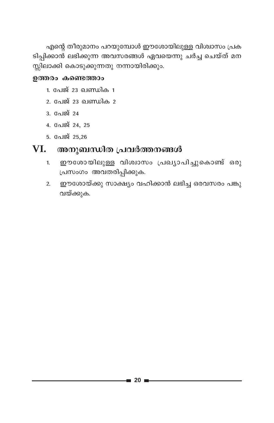എന്റെ തീരുമാനം പറയുമ്പോൾ ഈശോയിലുള്ള വിശ്വാസം പ്രക ടിപ്പിക്കാൻ ലഭിക്കുന്ന അവസരങ്ങൾ ഏവയെന്നു ചർച്ച ചെയ്ത് മന സ്സിലാക്കി കൊടുക്കുന്നതു നന്നായിരിക്കും.

### ഉത്തരം കണ്ടെത്താം

- 1. പേജ് 23 ഖണ്ഡിക 1
- 2. പേജ് 23 ഖണ്ഡിക 2
- $3.$  പേജ് 24
- 4. പേജ് 24, 25
- 5. പേജ് 25,26

#### VI. അനുബന്ധിത പ്രവർത്തനങ്ങൾ

- ഈശോയിലുള്ള വിശ്വാസം പ്രഖ്യാപിച്ചുകൊണ്ട് ഒരു  $1<sub>1</sub>$ പ്രസംഗം അവതരിപ്പിക്കുക.
- ഈശോയ്ക്കു സാക്ഷ്യം വഹിക്കാൻ ലഭിച്ച ഒരവസരം പങ്കു  $2.$ വയ്ക്കുക.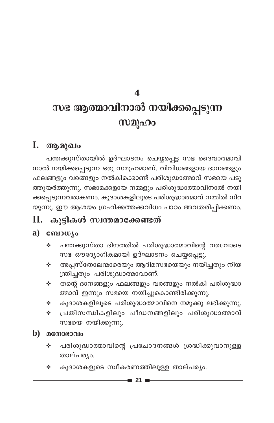$\overline{\mathbf{A}}$ 

# സഭ ആത്മാവിനാൽ നയിക്കപ്പെടുന്ന സമൂഹം

## I. ആമുഖം

പന്തക്കുസ്തായിൽ ഉദ്ഘാടനം ചെയ്യപ്പെട്ട സഭ ദൈവാത്മാവി നാൽ നയിക്കപ്പെടുന്ന ഒരു സമൂഹമാണ്. വിവിധങ്ങളായ ദാനങ്ങളും ഫലങ്ങളും വരങ്ങളും നൽകിക്കൊണ്ട് പരിശുദ്ധാത്മാവ് സഭയെ പടു ത്തുയർത്തുന്നു. സഭാമക്കളായ നമ്മളും പരിശുദ്ധാത്മാവിനാൽ നയി ക്കപ്പെടുന്നവരാകണം. കൂദാശകളിലൂടെ പരിശുദ്ധാത്മാവ് നമ്മിൽ നിറ യുന്നു. ഈ ആശയം ഗ്രഹിക്കത്തക്കവിധം പാഠം അവതരിപ്പിക്കണം.

## II. കുട്ടികൾ സ്വന്തമാക്കേണ്ടത്

## a)  $\cos\omega$

- പന്തക്കുസ്താ ദിനത്തിൽ പരിശുദ്ധാത്മാവിന്റെ വരവോടെ  $\frac{1}{2}$ സഭ ഔദ്യോഗികമായി ഉദ്ഘാടനം ചെയ്യപ്പെട്ടു.
- അപ്പസ്തോലന്മാരെയും ആദിമസഭയെയും നയിച്ചതും നിയ  $\frac{1}{2}$ ന്ത്രിച്ചതും പരിശുദ്ധാത്മാവാണ്.
- തന്റെ ദാനങ്ങളും ഫലങ്ങളും വരങ്ങളും നൽകി പരിശുദ്ധാ **Section** ത്മാവ് ഇന്നും സഭയെ നയിച്ചുകൊണ്ടിരിക്കുന്നു.
- കൂദാശകളിലൂടെ പരിശുദ്ധാത്മാവിനെ നമുക്കു ലഭിക്കുന്നു. ÷
- പ്രതിസന്ധികളിലും പീഡനങ്ങളിലും പരിശുദ്ധാത്മാവ് ÷ സഭയെ നയിക്കുന്നു.
- $\mathbf b)$  acmosonio
	- പരിശുദ്ധാത്മാവിന്റെ പ്രചോദനങ്ങൾ ശ്രദ്ധിക്കുവാനുള്ള ÷ താല്പര്യം.
	- കൂദാശകളുടെ സ്വീകരണത്തിലുള്ള താല്പര്യം. ٠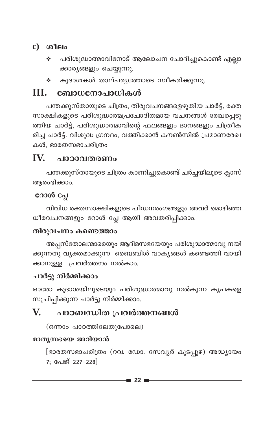## $c)$   $\omega$   $\omega$

- പരിശുദ്ധാത്മാവിനോട് ആലോചന ചോദിച്ചുകൊണ്ട് എല്ലാ  $\frac{1}{2}$ ക്കാര്യങ്ങളും ചെയ്യുന്നു.
- കൂദാശകൾ താല്പര്യത്തോടെ സ്വീകരിക്കുന്നു. ÷

#### ബോധനോപാധികൾ III.

പന്തക്കുസ്തായുടെ ചിത്രം, തിരുവചനങ്ങളെഴുതിയ ചാർട്ട്, രക്ത സാക്ഷികളുടെ പരിശുദ്ധാത്മപ്രചോദിതമായ വചനങ്ങൾ രേഖപ്പെടു ത്തിയ ചാർട്ട്, പരിശുദ്ധാത്മാവിന്റെ ഫലങ്ങളും ദാനങ്ങളും ചിത്രീക രിച്ച ചാർട്ട്. വിശുദ്ധ ഗ്രന്ഥം, വത്തിക്കാൻ കൗൺസിൽ പ്രമാണരേഖ കൾ, ഭാരതസഭാചരിത്രം

#### IV. പാഠാവതരണം

പന്തക്കുസ്തായുടെ ചിത്രം കാണിച്ചുകൊണ്ട് ചർച്ചയിലൂടെ ക്ലാസ് ആരംഭിക്കാം.

## റോൾ പ്ലേ

വിവിധ രക്തസാക്ഷികളുടെ പീഡനരംഗങ്ങളും അവർ മൊഴിഞ്ഞ ധീരവചനങ്ങളും റോൾ പ്ലേ ആയി അവതരിപ്പിക്കാം.

### തിരുവചനം കണ്ടെത്താം

അപ്പസ്തോലന്മാരെയും ആദിമസഭയേയും പരിശുദ്ധാത്മാവു നയി ക്കുന്നതു വ്യക്തമാക്കുന്ന ബൈബിൾ വാകൃങ്ങൾ കണ്ടെത്തി വായി ക്കാനുള്ള പ്രവർത്തനം നൽകാം.

## ചാർട്ടു നിർമ്മിക്കാം

ഓരോ കൂദാശയിലൂടെയും പരിശുദ്ധാത്മാവു നൽകുന്ന കൃപകളെ സൂചിപ്പിക്കുന്ന ചാർട്ടു നിർമ്മിക്കാം.

#### V. പാഠബന്ധിത പ്രവർത്തനങ്ങൾ

(ഒന്നാം പാഠത്തിലേതുപോലെ)

### മാതൃസഭയെ അറിയാൻ

[ഭാരതസഭാചരിത്രം (റവ. ഡോ. സേവ്യർ കൂടപ്പുഴ) അദ്ധ്യായം 7; പേജ് 227-228]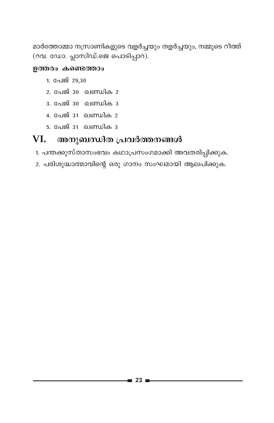മാർത്തോമ്മാ നസ്രാണികളുടെ വളർച്ചയും തളർച്ചയും, നമ്മുടെ റീത്ത്  $($ റവ. ഡോ. പ്ലാസിഡ്.ജെ പൊടിപ്പാറ).

### ഉത്തരം കണ്ടെത്താം

- 1. പേജ് 29,30
- 2. പേജ് 30 ഖണ്ഡിക 2
- 3. പേജ് 30 **ഖണ്ഡിക** 3
- 4. പേജ് 31 ഖണ്ഡിക 2
- 5. പേജ് 31 ഖണ്ഡിക 3

#### VI. അനുബന്ധിത പ്രവർത്തനങ്ങൾ

- 1. പന്തക്കുസ്താസംഭവം കഥാപ്രസംഗമാക്കി അവതരിപ്പിക്കുക.
- 2. പരിശുദ്ധാത്മാവിന്റെ ഒരു ഗാനം സംഘമായി ആലപിക്കുക.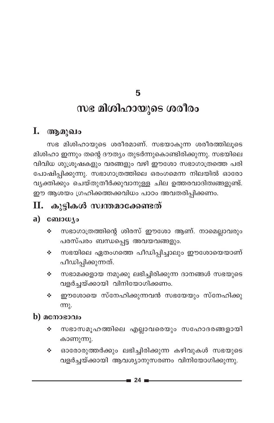5

## സഭ മിശിഹായുടെ ശരീരം

## I. ആമുഖം

സഭ മിശിഹായുടെ ശരീരമാണ്. സഭയാകുന്ന ശരീരത്തിലൂടെ മിശിഹാ ഇന്നും തന്റെ ദൗത്യം തുടർന്നുകൊണ്ടിരിക്കുന്നു. സഭയിലെ വിവിധ ശുശ്രൂഷകളും വരങ്ങളും വഴി ഈശോ സഭാഗാത്രത്തെ പരി പോഷിപ്പിക്കുന്നു. സഭാഗാത്രത്തിലെ ഒരംഗമെന്ന നിലയിൽ ഓരോ വ്യക്തിക്കും ചെയ്തുതീർക്കുവാനുള്ള ചില ഉത്തരവാദിത്വങ്ങളുണ്ട്. ഈ ആശയം ഗ്രഹിക്കത്തക്കവിധം പാഠം അവതരിപ്പിക്കണം.

## $II.$  കുട്ടികൾ സ്വന്തമാക്കേണ്ടത്

### a)  $\cos\omega$

- സഭാഗാത്രത്തിന്റെ ശിരസ് ഈശോ ആണ്. നാമെല്ലാവരും  $\sigma_{\rm eff}^{\rm th}$ പരസ്പരം ബന്ധപ്പെട്ട അവയവങ്ങളും.
- സഭയിലെ ഏതംഗത്തെ പീഡിപ്പിച്ചാലും ഈശോയെയാണ്  $\mathbf{r}_{\mathbf{a}}^{\mathbf{a}}$ പീഡിപ്പിക്കുന്നത്.
- സഭാമക്കളായ നമുക്കു ലഭിച്ചിരിക്കുന്ന ദാനങ്ങൾ സഭയുടെ  $\mathcal{L}_{\mathcal{C}}$  . വളർച്ചയ്ക്കായി വിനിയോഗിക്കണം.
- ഈശോയെ സ്നേഹിക്കുന്നവൻ സഭയേയും സ്നേഹിക്കു  $\mathcal{L}^{\bullet}$  $(m)$ .

### b)  $\alpha$ നോഭാവം

- സഭാസമൂഹത്തിലെ എല്ലാവരെയും സഹോദരങ്ങളായി  $\phi^{\ast}_{\phi}$ കാണുന്നു.
- ഓരോരുത്തർക്കും ലഭിച്ചിരിക്കുന്ന കഴിവുകൾ സഭയുടെ ÷ വളർച്ചയ്ക്കായി ആവശ്യാനുസരണം വിനിയോഗിക്കുന്നു.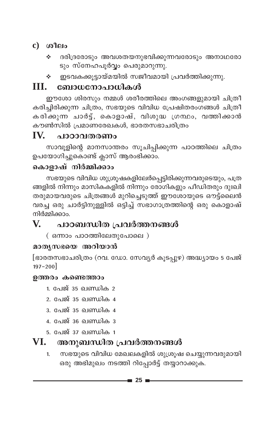## $c)$   $\omega$   $\omega$

- ദരിദ്രരോടും അവശതയനുഭവിക്കുന്നവരോടും അനാഥരോ  $\frac{1}{2}$ ടും സ്നേഹപൂർവ്വം പെരുമാറുന്നു.
- ഇടവകക്കൂട്ടായ്മയിൽ സജീവമായി പ്രവർത്തിക്കുന്നു.  $\mathcal{L}_{\mathcal{P}}$  .

#### ബോധനോപാധികൾ III.

ഈശോ ശിരസും നമ്മൾ ശരീരത്തിലെ അംഗങ്ങളുമായി ചിത്രീ കരിച്ചിരിക്കുന്ന ചിത്രം, സഭയുടെ വിവിധ പ്രേഷിതരംഗങ്ങൾ ചിത്രീ കരിക്കുന്ന ചാർട്ട്, കൊളാഷ്, വിശുദ്ധ ഗ്രന്ഥം, വത്തിക്കാൻ കൗൺസിൽ പ്രമാണരേഖകൾ, ഭാരതസഭാചരിത്രം

#### $\mathbf{IV}_{\cdot}$ പാറാവതരണം

സാവൂളിന്റെ മാനസാന്തരം സൂചിപ്പിക്കുന്ന പാഠത്തിലെ ചിത്രം ഉപയോഗിച്ചുകൊണ്ട് ക്ലാസ് ആരംഭിക്കാം.

## കൊളാഷ് നിർമ്മിക്കാം

സഭയുടെ വിവിധ ശുശ്രൂഷകളിലേർപ്പെട്ടിരിക്കുന്നവരുടെയും, പത്ര ങ്ങളിൽ നിന്നും മാസികകളിൽ നിന്നും രോഗികളും പീഡിതരും ദുഃഖി തരുമായവരുടെ ചിത്രങ്ങൾ മുറിച്ചെടുത്ത് ഈശോയുടെ ഔട്ട്ലൈൻ വരച്ച ഒരു ചാർട്ടിനുള്ളിൽ ഒട്ടിച്ച് സഭാഗാത്രത്തിന്റെ ഒരു കൊളാഷ് നിർമ്മിക്കാം.

#### $\mathbf{V}_{\bullet}$ പാഠബന്ധിത പ്രവർത്തനങ്ങൾ

( ഒന്നാം പാഠത്തിലേതുപോലെ )

## മാതൃസഭയെ അറിയാൻ

[ഭാരതസഭാചരിത്രം (റവ. ഡോ. സേവ്യർ കൂടപ്പുഴ) അദ്ധ്യായം 5 പേജ്  $197 - 200$ 

### ഉത്തരം കണ്ടെത്താം

- 1. പേജ് 35 ഖണ്ഡിക 2
- 2. പേജ് 35 ഖണ്ഡിക 4
- <u>3. പേജ് 35 ഖണ്ഡിക 4</u>
- 4. പേജ് 36 ഖണ്ഡിക 3
- 5. പേജ് 37 ഖണ്ഡിക 1

#### അനുബന്ധിത പ്രവർത്തനങ്ങൾ VI.

സഭയുടെ വിവിധ മേഖലകളിൽ ശുശ്രൂഷ ചെയ്യുന്നവരുമായി  $\mathbf{1}$ ഒരു അഭിമുഖം നടത്തി റിപ്പോർട്ട് തയ്യാറാക്കുക.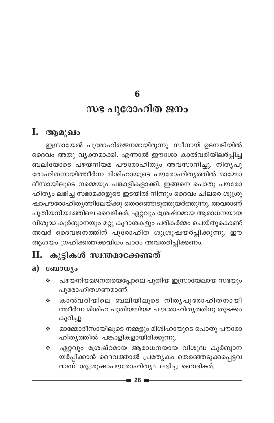6

## സഭ പുരോഹിത ജനം

## I. ആമുഖം

ഇസ്രായേൽ പുരോഹിതജനമായിരുന്നു. സീനായ് ഉടമ്പടിയിൽ ദൈവം അതു വ്യക്തമാക്കി. എന്നാൽ ഈശോ കാൽവരിയിലർപ്പിച്ച ബലിയോടെ പഴയനിയമ പൗരോഹിത്യം അവസാനിച്ചു. നിത്യപു രോഹിതനായിത്തീർന്ന മിശിഹായുടെ പൗരോഹിതൃത്തിൽ മാമ്മോ ദീസായിലൂടെ നമ്മെയും പങ്കാളികളാക്കി. ഇങ്ങനെ പൊതു പൗരോ ഹിത്യം ലഭിച്ച സഭാമക്കളുടെ ഇടയിൽ നിന്നും ദൈവം ചിലരെ ശുശ്രൂ ഷാപൗരോഹിത്യത്തിലേയ്ക്കു തെരഞ്ഞെടുത്തുയർത്തുന്നു. അവരാണ് പുതിയനിയമത്തിലെ വൈദികർ. ഏറ്റവും ശ്രേഷ്ഠമായ ആരാധനയായ വിശുദ്ധ കുർബ്ബാനയും മറ്റു കൂദാശകളും പരികർമ്മം ചെയ്തുകൊണ്ട് അവർ ദൈവജനത്തിന് പുരോഹിത ശുശ്രൂഷയർപ്പിക്കുന്നു. ഈ ആശയം ഗ്രഹിക്കത്തക്കവിധം പാഠം അവതരിപ്പിക്കണം.

## $\mathbf H$ . കുട്ടികൾ സ്വന്തമാക്കേണ്ടത്

### a)  $\omega_{\text{so}}$

- പഴയനിയമജനതയെപ്പോലെ പുതിയ ഇസ്രായേലായ സഭയും ÷ പുരോഹിതഗണമാണ്.
- കാൽവരിയിലെ ബലിയിലൂടെ നിതൃപുരോഹിതനായി ÷ ത്തീർന്ന മിശിഹ പുതിയനിയമ പൗരോഹിത്യത്തിനു തുടക്കം കുറിച്ചു.
- മാമ്മോദീസായിലൂടെ നമ്മളും മിശിഹായുടെ പൊതു പൗരോ A. ഹിത്യത്തിൽ പങ്കാളികളായിരിക്കുന്നു.
- ഏറ്റവും ശ്രേഷ്ഠമായ ആരാധനയായ വിശുദ്ധ കുർബ്ബാന ÷ യർപ്പിക്കാൻ ദൈവത്താൽ പ്രത്യേകം തെരഞ്ഞടുക്കപ്പെട്ടവ രാണ് ശുശ്രൂഷാപൗരോഹിത്യം ലഭിച്ച വൈദികർ.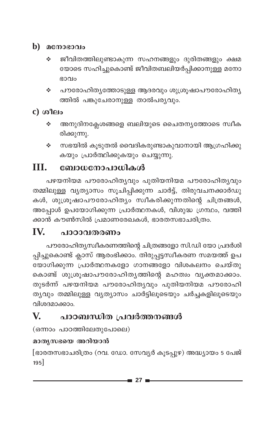## $\mathbf b$ )  $\mathbf a$  conservation

- ജീവിതത്തിലുണ്ടാകുന്ന സഹനങ്ങളും ദുരിതങ്ങളും ക്ഷമ  $\frac{1}{2}$ യോടെ സഹിച്ചുകൊണ്ട് ജീവിതബലിയർപ്പിക്കാനുള്ള മനോ ഭാവം
- പൗരോഹിത്യത്തോടുള്ള ആദരവും ശുശ്രൂഷാപൗരോഹിത്യ ÷ ത്തിൽ പങ്കുചേരാനുള്ള താൽപര്യവും.

 $c)$  ശീലം

- ÷ അനുദിനക്ലേശങ്ങളെ ബലിയുടെ ചൈതന്യത്തോടെ സ്വീക രിക്കുന്നു.
- സഭയിൽ കൂടുതൽ വൈദികരുണ്ടാകുവാനായി ആഗ്രഹിക്കു  $\mathbf{e}_\mathbf{a}^*$ കയും പ്രാർത്ഥിക്കുകയും ചെയ്യുന്നു.

### ШI. ബോധനോപാധികൾ

പഴയനിയമ പൗരോഹിതൃവും പുതിയനിയമ പൗരോഹിതൃവും തമ്മിലുള്ള വൃത്യാസം സൂചിപ്പിക്കുന്ന ചാർട്ട്, തിരുവചനക്കാർഡു കൾ, ശുശ്രൂഷാപൗരോഹിത്യം സ്വീകരിക്കുന്നതിന്റെ ചിത്രങ്ങൾ, അപ്പോൾ ഉപയോഗിക്കുന്ന പ്രാർത്ഥനകൾ, വിശുദ്ധ ഗ്രന്ഥം, വത്തി ക്കാൻ കൗൺസിൽ പ്രമാണരേഖകൾ, ഭാരതസഭാചരിത്രം.

### IV. പാഠാവതരണം

പൗരോഹിതൃസ്ഥീകരണത്തിന്റെ ചിത്രങ്ങളോ സി.ഡി യോ പ്രദർശി പ്പിച്ചുകൊണ്ട് ക്ലാസ് ആരംഭിക്കാം. തിരുപ്പട്ടസ്വീകരണ സമയത്ത് ഉപ യോഗിക്കുന്ന പ്രാർത്ഥനകളോ ഗാനങ്ങളോ വിശകലനം ചെയ്തു കൊണ്ട് ശുശ്രൂഷാപൗരോഹിതൃത്തിന്റെ മഹത്വം വൃക്തമാക്കാം. തുടർന്ന് പഴയനിയമ പൗരോഹിത്യവും പുതിയനിയമ പൗരോഹി തൃവും തമ്മിലുള്ള വ്യത്യാസം ചാർട്ടിലൂടെയും ചർച്ചകളിലൂടെയും വിശദമാക്കാം.

### V. പാഠബന്ധിത പ്രവർത്തനങ്ങൾ

(ഒന്നാം പാഠത്തിലേതുപോലെ)

## മാതൃസഭയെ അറിയാൻ

[ഭാരതസഭാചരിത്രം (റവ. ഡോ. സേവ്യർ കൂടപ്പുഴ) അദ്ധ്യായം 5 പേജ്  $195$ ]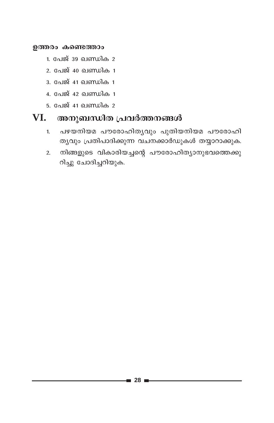### ഉത്തരം കണ്ടെത്താം

- 1. പേജ് 39 ഖണ്ഡിക 2
- 2. പേജ് 40 ഖണ്ഡിക 1
- <u>3. പേജ് 41 ഖണ്ഡിക 1</u>
- 4. പേജ് 42 ഖണ്ഡിക 1
- <u>5. പേജ് 41 ഖണ്ഡിക 2</u>

#### VI. അനുബന്ധിത പ്രവർത്തനങ്ങൾ

- പഴയനിയമ പൗരോഹിത്യവും പുതിയനിയമ പൗരോഹി  $1.$ ത്യവും പ്രതിപാദിക്കുന്ന വചനക്കാർഡുകൾ തയ്യാറാക്കുക.
- നിങ്ങളുടെ വികാരിയച്ചന്റെ പൗരോഹിത്യാനുഭവത്തെക്കു  $2.$ റിച്ചു ചോദിച്ചറിയുക.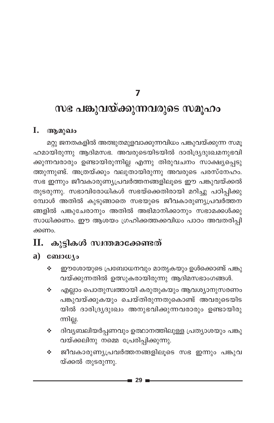$\overline{7}$ 

# സഭ പങ്കുവയ്ക്കുന്നവരുടെ സമൂഹം

#### I. ആമുഖം

മറ്റു ജനതകളിൽ അത്ഭുതമുളവാക്കുന്നവിധം പങ്കുവയ്ക്കുന്ന സമൂ ഹമായിരുന്നു ആദിമസഭ. അവരുടെയിടയിൽ ദാരിദ്ര്യദുഃഖമനുഭവി ക്കുന്നവരാരും ഉണ്ടായിരുന്നില്ല എന്നു തിരുവചനം സാക്ഷ്യപ്പെടു ത്തുന്നുണ്ട്. അത്രയ്ക്കും വലുതായിരുന്നു അവരുടെ പരസ്നേഹം. സഭ ഇന്നും ജീവകാരുണ്യപ്രവർത്തനങ്ങളിലൂടെ ഈ പങ്കുവയ്ക്കൽ തുടരുന്നു. സഭാവിരോധികൾ സഭയ്ക്കെതിരായി മറിച്ചു പഠിപ്പിക്കു മ്പോൾ അതിൽ കുടുങ്ങാതെ സഭയുടെ ജീവകാരുണ്യപ്രവർത്തന ങ്ങളിൽ പങ്കുചേരാനും അതിൽ അഭിമാനിക്കാനും സഭാമക്കൾക്കു സാധിക്കണം. ഈ ആശയം ഗ്രഹിക്കത്തക്കവിധം പാഠം അവതരിപി ക്കണം.

## II. കുട്ടികൾ സ്വന്തമാക്കേണ്ടത്

- a)  $\omega_{\text{so}}$ 
	- ഈശോയുടെ പ്രബോധനവും മാതൃകയും ഉൾക്കൊണ്ട് പങ്കു  $\frac{1}{2}$ വയ്ക്കുന്നതിൽ ഉത്സുകരായിരുന്നു ആദിമസഭാംഗങ്ങൾ.
	- എല്ലാം പൊതുസ്വത്തായി കരുതുകയും ആവശ്യാനുസരണം  $\mathcal{L}^{\bullet}$ പങ്കുവയ്ക്കുകയും ചെയ്തിരുന്നതുകൊണ്ട് അവരുടെയിട യിൽ ദാരിദ്ര്യദുഃഖം അനുഭവിക്കുന്നവരാരും ഉണ്ടായിരു ന്നില്ല.
	- ദിവ്യബലിയർപ്പണവും ഉത്ഥാനത്തിലുള്ള പ്രത്യാശയും പങ്കു  $\mathcal{L}_{\mathcal{C}}$ വയ്ക്കലിനു നമ്മെ പ്രേരിപ്പിക്കുന്നു.
	- ജീവകാരുണ്യപ്രവർത്തനങ്ങളിലൂടെ സഭ ഇന്നും പങ്കുവ ÷ യ്ക്കൽ തുടരുന്നു.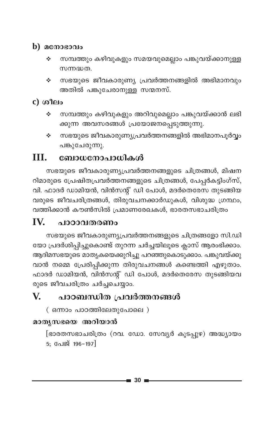## b)  $\alpha$ നോഭാവം

- സമ്പത്തും കഴിവുകളും സമയവുമെല്ലാം പങ്കുവയ്ക്കാനുള്ള ÷ സന്നദ്ധത.
- സഭയുടെ ജീവകാരുണ്യ പ്രവർത്തനങ്ങളിൽ അഭിമാനവും ❖ അതിൽ പങ്കുചേരാനുള്ള സന്മനസ്.

## c) ശീലം

- സമ്പത്തും കഴിവുകളും അറിവുമെല്ലാം പങ്കുവയ്ക്കാൻ ലഭി  $\frac{1}{2}$ ക്കുന്ന അവസരങ്ങൾ പ്രയോജനപ്പെടുത്തുന്നു.
- സഭയുടെ ജീവകാരുണ്യപ്രവർത്തനങ്ങളിൽ അഭിമാനപൂർവ്വം ÷ പങ്കുചേരുന്നു.

#### III. ബോധനോപാധികൾ

സഭയുടെ ജീവകാരുണ്യപ്രവർത്തനങ്ങളുടെ ചിത്രങ്ങൾ, മിഷന റിമാരുടെ പ്രേഷിതപ്രവർത്തനങ്ങളുടെ ചിത്രങ്ങൾ, പേപ്പർകട്ടിംഗ്സ്, വി. ഫാദർ ഡാമിയൻ, വിൻസന്റ് ഡി പോൾ, മദർതെരേസ തുടങ്ങിയ വരുടെ ജീവചരിത്രങ്ങൾ, തിരുവചനക്കാർഡുകൾ, വിശുദ്ധ ഗ്രന്ഥം, വത്തിക്കാൻ കൗൺസിൽ പ്രമാണരേഖകൾ, ഭാരതസഭാചരിത്രം

### $\mathbf{IV}_{\cdot}$ പാഠാവതരണം

സഭയുടെ ജീവകാരുണ്യപ്രവർത്തനങ്ങളുടെ ചിത്രങ്ങളോ സി.ഡി യോ പ്രദർശിപ്പിച്ചുകൊണ്ട് തുറന്ന ചർച്ചയിലൂടെ ക്ലാസ് ആരംഭിക്കാം. ആദിമസഭയുടെ മാതൃകയെക്കുറിച്ചു പറഞ്ഞുകൊടുക്കാം. പങ്കുവയ്ക്കു വാൻ നമ്മെ പ്രേരിപ്പിക്കുന്ന തിരുവചനങ്ങൾ കണ്ടെത്തി എഴുതാം. ഫാദർ ഡാമിയൻ, വിൻസന്റ് ഡി പോൾ, മദർതെരേസ തുടങ്ങിയവ രുടെ ജീവചരിത്രം ചർച്ചചെയ്യാം.

#### V. പാഠബന്ധിത പ്രവർത്തനങ്ങൾ

( ഒന്നാം പാഠത്തിലേതുപോലെ )

## മാതൃസഭയെ അറിയാൻ

[ഭാരതസഭാചരിത്രം (റവ. ഡോ. സേവ്യർ കൂടപ്പുഴ) അദ്ധ്യായം  $5:$  പേജ് 196-197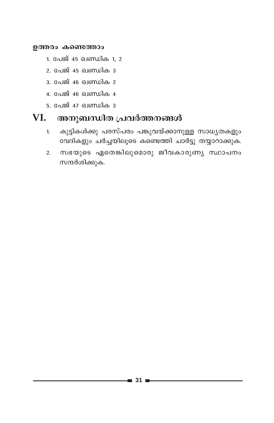### ഉത്തരം കണ്ടെത്താം

- 1. പേജ് 45 ഖണ്ഡിക 1. 2
- 2. പേജ് 45 ഖണ്ഡിക 3
- 3. പേജ് 46 ഖണ്ഡിക 2
- 4. പേജ് 46 ഖണ്ഡിക 4
- 5. പേജ് 47 ഖണ്ഡിക 3

#### VI. അനുബന്ധിത പ്രവർത്തനങ്ങൾ

- കുട്ടികൾക്കു പരസ്പരം പങ്കുവയ്ക്കാനുള്ള സാധൃതകളും  $1.$ വേദികളും ചർച്ചയിലൂടെ കണ്ടെത്തി ചാർട്ടു തയ്യാറാക്കുക.
- സഭയുടെ ഏതെങ്കിലുമൊരു ജീവകാരുണ്യ സ്ഥാപനം  $2.$ സന്ദർശിക്കുക.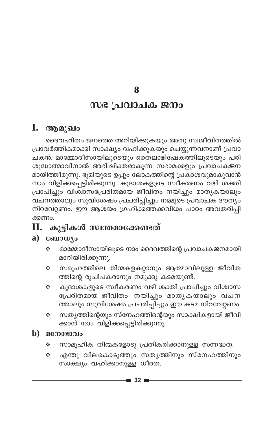8

## സഭ പ്രവാചക ജനം

## I. ആമുഖം

ദൈവഹിതം ജനത്തെ അറിയിക്കുകയും അതു സ്വജീവിതത്തിൽ പ്രാവർത്തികമാക്കി സാക്ഷ്യം വഹിക്കുകയും ചെയ്യുന്നവനാണ് പ്രവാ ചകൻ. മാമ്മോദീസായിലൂടെയും തൈലാഭിഷേകത്തിലൂടെയും പരി ശുദ്ധാത്മാവിനാൽ അഭിഷിക്തരാകുന്ന സഭാമക്കളും പ്രവാചകജന മായിത്തീരുന്നു. ഭൂമിയുടെ ഉപ്പും ലോകത്തിന്റെ പ്രകാശവുമാകുവാൻ നാം വിളിക്കപ്പെട്ടിരിക്കുന്നു. കൂദാശകളുടെ സ്ഥീകരണം വഴി ശക്തി പ്രാപിച്ചും വിശ്വാസപ്രേരിതമായ ജീവിതം നയിച്ചും മാതൃകയാലും വചനത്താലും സുവിശേഷം പ്രചരിപ്പിച്ചും നമ്മുടെ പ്രവാചക ദൗത്യം നിറവേറ്റണം. ഈ ആശയം ഗ്രഹിക്കത്തക്കവിധം പാഠം അവതരിപി ക്കണം.

#### കുട്ടികൾ സ്വന്തമാക്കേണ്ടത് П.

### $a)$  comp $a$

- മാമ്മോദീസായിലൂടെ നാം ദൈവത്തിന്റെ പ്രവാചകജനമായി  $\sigma_{\rm eff}^{\rm th}$ മാറിയിരിക്കുന്നു.
- സമൂഹത്തിലെ തിന്മകളകറ്റാനും ആത്മാവിലുള്ള ജീവിത ÷ ത്തിന്റെ രുചിപകരാനും നമുക്കു കടമയുണ്ട്.
- കൂദാശകളുടെ സ്വീകരണം വഴി ശക്തി പ്രാപിച്ചും വിശ്വാസ ÷ പ്രേരിതമായ ജീവിതം നയിച്ചും മാതൃകയാലും വചന ത്താലും സുവിശേഷം പ്രചരിപ്പിച്ചും ഈ കടമ നിറവേറ്റണം.
- സത്യത്തിന്റെയും സ്നേഹത്തിന്റെയും സാക്ഷികളായി ജീവി ٠ ക്കാൻ നാം വിളിക്കപ്പെട്ടിരിക്കുന്നു.
- $\mathbf{b}$ ) മനോഭാവം
	- സാമൂഹിക തിന്മകളോടു പ്രതികരിക്കാനുള്ള സന്നദ്ധത. ÷
	- എന്തു വിലകൊടുത്തും സതൃത്തിനും സ്നേഹത്തിനും  $\sigma_{\rm eff}^{\rm th}$ സാക്ഷ്യം വഹിക്കാനുള്ള ധീരത.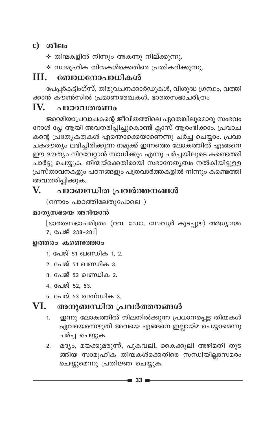## $c)$   $\omega$   $\omega$

- $\cdot$  തിന്മകളിൽ നിന്നും അകന്നു നില്ക്കുന്നു.
- $\boldsymbol{\cdot}$  സാമൂഹിക തിന്മകൾക്കെതിരെ പ്രതികരിക്കുന്നു.

#### ബോധനോപാധികൾ III.

പേപ്പർകട്ടിംഗ്സ്, തിരുവചനക്കാർഡുകൾ, വിശുദ്ധ ഗ്രന്ഥം, വത്തി ക്കാൻ കൗൺസിൽ പ്രമാണരേഖകൾ, ഭാരതസഭാചരിത്രം

#### $\mathbf{IV}_{\cdot}$ പാഠാവതരണം

ജറെമിയാപ്രവാചകന്റെ ജീവിതത്തിലെ ഏതെങ്കിലുമൊരു സംഭവം റോൾ പ്ലേ ആയി അവതരിപ്പിച്ചുകൊണ്ട് ക്ലാസ് ആരംഭിക്കാം. പ്രവാച കന്റെ പ്രത്യേകതകൾ എന്തൊക്കെയാണെന്നു ചർച്ച ചെയ്യാം. പ്രവാ ചകദൗത്യം ലഭിച്ചിരിക്കുന്ന നമുക്ക് ഇന്നത്തെ ലോകത്തിൽ എങ്ങനെ ഈ ദൗത്യം നിറവേറ്റാൻ സാധിക്കും എന്നു ചർച്ചയിലൂടെ കണ്ടെത്തി ചാർട്ടു ചെയ്യുക. തിന്മയ്ക്കെതിരായി സഭാനേതൃത്വം നൽകിയിട്ടുള്ള പ്രസ്താവനകളും പഠനങ്ങളും പത്രവാർത്തകളിൽ നിന്നും കണ്ടെത്തി അവതരിപ്പിക്കുക.

#### V. പാഠബന്ധിത പ്രവർത്തനങ്ങൾ

(ഒന്നാം പാഠത്തിലേതുപോലെ )

### മാതൃസഭയെ അറിയാൻ

[ഭാരതസഭാചരിത്രം (റവ. ഡോ. സേവ്യർ കൂടപ്പുഴ) അദ്ധ്യായം 7: പേജ് 238–281]

## ഉത്തരം കണ്ടെത്താം

- 1. പേജ് 51 ലെസ്സിക 1, 2,
- 2. പേജ് 51 ഖണ്ഡിക**3**.
- 3. പേജ് 52 ഖണ്ഡിക 2.
- $4.$  പേജ് 52, 53.
- <u>5. പേജ് 53 ഖണ്ഡിക 3.</u>

### VI. അനുബന്ധിത പ്രവർത്തനങ്ങൾ

- ഇന്നു ലോകത്തിൽ നിലനിൽക്കുന്ന പ്രധാനപ്പെട്ട തിന്മകൾ  $1.$ ഏവയെന്നെഴുതി അവയെ എങ്ങനെ ഇല്ലായ്മ ചെയ്യാമെന്നു ചർച്ച ചെയ്യുക.
- 2. മദ്യം, മയക്കുമരുന്ന്, പുകവലി, കൈക്കൂലി അഴിമതി തുട ങ്ങിയ സാമൂഹിക തിന്മകൾക്കെതിരെ സന്ധിയില്ലാസമരം ചെയ്യുമെന്നു പ്രതിജ്ഞ ചെയ്യുക.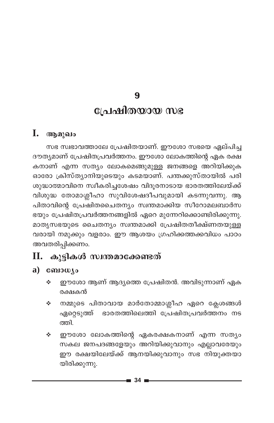9

## പ്രേഷിതയായ സഭ

#### ആമുഖം I.

സഭ സ്വഭാവത്താലേ പ്രേഷിതയാണ്. ഈശോ സഭയെ ഏല്പിച്ച ദൗത്യമാണ് പ്രേഷിതപ്രവർത്തനം. ഈശോ ലോകത്തിന്റെ ഏക രക്ഷ കനാണ് എന്ന സത്യം ലോകമെങ്ങുമുള്ള ജനങ്ങളെ അറിയിക്കുക ഓരോ ക്രിസ്ത്യാനിയുടെയും കടമയാണ്. പന്തക്കുസ്തായിൽ പരി ശുദ്ധാത്മാവിനെ സ്ഥീകരിച്ചശേഷം വിദൂരനാടായ ഭാരതത്തിലേയ്ക്ക് വിശുദ്ധ തോമാശ്ലീഹാ സുവിശേഷദീപവുമായി കടന്നുവന്നു. ആ പിതാവിന്റെ പ്രേഷിതചൈതന്യം സ്വന്തമാക്കിയ സീറോമലബാർസ ഭയും പ്രേഷിതപ്രവർത്തനങ്ങളിൽ ഏറെ മുന്നേറിക്കൊണ്ടിരിക്കുന്നു. മാതൃസഭയുടെ ചൈതന്യം സ്വന്തമാക്കി പ്രേഷിതതീക്ഷ്ണതയുള്ള വരായി നമുക്കും വളരാം. ഈ ആശയം ഗ്രഹിക്കത്തക്കവിധം പാഠം അവതരിപ്പിക്കണം.

## II. കുട്ടികൾ സ്ഥതമാക്കേണ്ടത്

### a)  $\omega_{\text{10}}$

- ഈശോ ആണ് ആദ്യത്തെ പ്രേഷിതൻ. അവിടുന്നാണ് ഏക ÷ രക്ഷകൻ
- നമ്മുടെ പിതാവായ മാർതോമ്മാശ്ലീഹ ഏറെ ക്ലേശങ്ങൾ ÷ ഭാരതത്തിലെത്തി പ്രേഷിതപ്രവർത്തനം നട ഏറ്റെടുത്ത് ത്തി.
- ഈശോ ലോകത്തിന്റെ ഏകരക്ഷകനാണ് എന്ന സത്യം  $\frac{1}{2}$ സകല ജനപദങ്ങളേയും അറിയിക്കുവാനും എല്ലാവരേയും ഈ രക്ഷയിലേയ്ക്ക് ആനയിക്കുവാനും സഭ നിയുക്തയാ യിരിക്കുന്നു.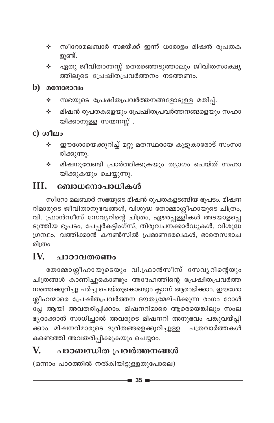- സീറോമലബാർ സഭയ്ക്ക് ഇന്ന് ധാരാളം മിഷൻ രൂപതക ÷ ളുണ്ട്.
- ഏതു ജീവിതാന്തസ്സ് തെരഞ്ഞെടുത്താലും ജീവിതസാക്ഷ്യ ÷ ത്തിലൂടെ പ്രേഷിതപ്രവർത്തനം നടത്തണം.

### $\mathbf b)$  **acmosool**

- സഭയുടെ പ്രേഷിതപ്രവർത്തനങ്ങളോടുള്ള മതിപ്പ്.  $\frac{1}{2}$
- മിഷൻ രൂപതകളെയും പ്രേഷിതപ്രവർത്തനങ്ങളെയും സഹാ ÷ യിക്കാനുള്ള സന്മനസ്സ് .

### $c)$  ശീലം

- ഈശോയെക്കുറിച്ച് മറ്റു മതസ്ഥരായ കൂട്ടുകാരോട് സംസാ ÷ രിക്കുന്നു.
- മിഷനുവേണ്ടി പ്രാർത്ഥിക്കുകയും ത്യാഗം ചെയ്ത് സഹാ ÷ യിക്കുകയും ചെയ്യുന്നു.

#### III. ബോധനോപാധികൾ

സീറോ മലബാർ സഭയുടെ മിഷൻ രൂപതകളടങ്ങിയ ഭൂപടം. മിഷന റിമാരുടെ ജീവിതാനുഭവങ്ങൾ, വിശുദ്ധ തോമ്മാശ്ലീഹായുടെ ചിത്രം, വി. ഫ്രാൻസീസ് സേവ്യറിന്റെ ചിത്രം, ഏഴരപ്പള്ളികൾ അടയാളപ്പെ ടുത്തിയ ഭൂപടം, പേപ്പർകട്ടിംഗ്സ്, തിരുവചന്ക്കാർഡുകൾ്, വിശുദ്ധ ഗ്രന്ഥം, വത്തിക്കാൻ കൗൺസിൽ പ്രമാണരേഖകൾ, ഭാരതസഭാച രിത്രം

#### $\mathbf{IV}_{\cdot}$ പാഠാവതരണം

തോമ്മാശ്ലീഹായുടെയും വി.ഫ്രാൻസീസ് സേവൃറിന്റെയും ചിത്രങ്ങൾ കാണിച്ചുകൊണ്ടും അദേഹത്തിന്റെ പ്രേഷിതപ്രവർത്ത നത്തെക്കുറിച്ചു ചർച്ച ചെയ്തുകൊണ്ടും ക്ലാസ് ആരംഭിക്കാം. ഈശോ ശ്ലീഹന്മാരെ പ്രേഷിതപ്രവർത്തന ദൗതൃമേല്പിക്കുന്ന രംഗം റോൾ പ്ലേ ആയി അവതരിപ്പിക്കാം. മിഷനറിമാരെ ആരെയെങ്കിലും സംല ഭൃരാക്കാൻ സാധിച്ചാൽ അവരുടെ മിഷനറി അനുഭവം പങ്കുവയ്പ്പി ക്കാം. മിഷനറിമാരുടെ ദുരിതങ്ങളെക്കുറിച്ചുള്ള പത്രവാർത്തകൾ കണ്ടെത്തി അവതരിപ്പിക്കുകയും ചെയ്യാം.

### പാഠബന്ധിത പ്രവർത്തനങ്ങൾ V.

(ഒന്നാം പാഠത്തിൽ നൽകിയിട്ടുള്ളതുപോലെ)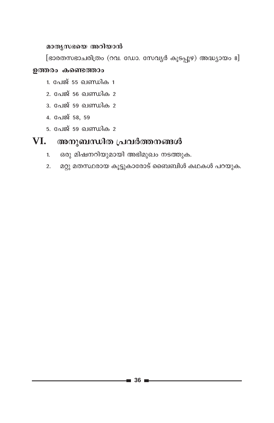### മാതൃസഭയെ അറിയാൻ

[ഭാരതസഭാചരിത്രം (റവ. ഡോ. സേവ്യർ കൂടപ്പുഴ) അദ്ധ്യായം 8]

### ഉത്തരം കണ്ടെത്താം

- <u>1. പേജ് 55 ഖണ്ഡിക 1</u>
- 2. പേജ് 56 ഖണ്ഡിക 2
- <u>3. പേജ് 59 ഖണ്ഡിക 2</u>
- 4. പേജ് 58, 59
- <u>5. പേജ് 59 ഖണ്ഡിക 2</u>

## VI. അനുബന്ധിത പ്രവർത്തനങ്ങൾ

- ഒരു മിഷനറിയുമായി അഭിമുഖം നടത്തുക.  $1.$
- 2. മറ്റു മതസ്ഥരായ കൂട്ടുകാരോട് ബൈബിൾ കഥകൾ പറയുക.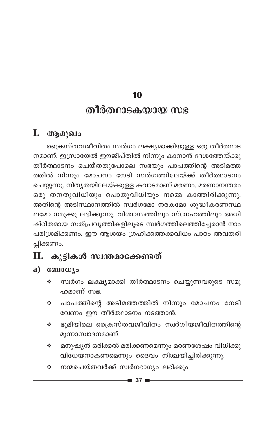## $10$

## തീർത്ഥാടകയായ സഭ

## I. ആമുഖം

ക്രൈസ്തവജീവിതം സ്വർഗം ലക്ഷ്യമാക്കിയുള്ള ഒരു തീർത്ഥാട നമാണ്. ഇസ്രായേൽ ഈജിപ്തിൽ നിന്നും കാനാൻ ദേശത്തേയ്ക്കു തീർത്ഥാടനം ചെയ്തതുപോലെ സഭയും പാപത്തിന്റെ അടിമത്ത ത്തിൽ നിന്നും മോചനം നേടി സ്വർഗത്തിലേയ്ക്ക് തീർത്ഥാടനം ചെയ്യുന്നു. നിതൃതയിലേയ്ക്കുള്ള കവാടമാണ് മരണം. മരണാനന്തരം ഒരു തനതുവിധിയും പൊതുവിധിയും നമ്മെ കാത്തിരിക്കുന്നു. അതിന്റെ അടിസ്ഥാനത്തിൽ സ്വർഗമോ നരകമോ ശുദ്ധീകരണസ്ഥ ലമോ നമുക്കു ലഭിക്കുന്നു. വിശ്വാസത്തിലും സ്നേഹത്തിലും അധി ഷ്ഠിതമായ സത്പ്രവൃത്തികളിലൂടെ സ്വർഗത്തിലെത്തിച്ചേരാൻ നാം പരിശ്രമിക്കണം. ഈ ആശയം ഗ്രഹിക്കത്തക്കവിധം പാഠം അവതരി പ്പിക്കണം.

## II. കുട്ടികൾ സ്വന്തമാക്കേണ്ടത്

### $a)$  consulto

- സ്വർഗം ലക്ഷ്യമാക്കി തീർത്ഥാടനം ചെയ്യുന്നവരുടെ സമു  $\mathcal{L}^{\bullet}$ ഹമാണ് സഭ.
- പാപത്തിന്റെ അടിമത്തത്തിൽ നിന്നും മോചനം നേടി  $\mathbf{e}_{\mathbf{a}}^{\mathbf{e}}$ വേണം ഈ തീർത്ഥാടനം നടത്താൻ.
- ഭൂമിയിലെ ക്രൈസ്തവജീവിതം സ്വർഗീയജീവിതത്തിന്റെ  $\mathbf{r}_{\mathbf{a}}^{\mathbf{a}}$ മുന്നാസ്വാദനമാണ്.
- മനുഷ്യൻ ഒരിക്കൽ മരിക്കണമെന്നും മരണശേഷം വിധിക്കു  $\mathcal{L}_{\mathcal{C}}$ വിധേയനാകണമെന്നും ദൈവം നിശ്ചയിച്ചിരിക്കുന്നു.
- നന്മചെയ്തവർക്ക് സ്വർഗഭാഗ്യം ലഭിക്കും  $\mathbf{e}_\mathbf{a}^\bullet$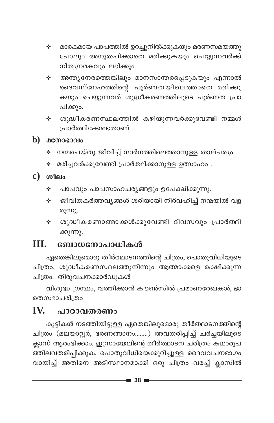- മാരകമായ പാപത്തിൽ ഉറച്ചുനിൽക്കുകയും മരണസമയത്തു  $\mathcal{L}_{\mathcal{C}}$  . പോലും അനുതപിക്കാതെ മരിക്കുകയും ചെയ്യുന്നവർക്ക് നിത്യനരകവും ലഭിക്കും.
- അന്ത്യനേരത്തെങ്കിലും മാനസാന്തരപ്പെടുകയും എന്നാൽ ÷. ദൈവസ്നേഹത്തിന്റെ പൂർണതയിലെത്താതെ മരിക്കു കയും ചെയ്യുന്നവർ ശുദ്ധീകരണത്തിലൂടെ പൂർണത പ്രാ പിക്കും.
- ശുദ്ധീകരണസ്ഥലത്തിൽ കഴിയുന്നവർക്കുവേണ്ടി നമ്മൾ ÷. പ്രാർത്ഥിക്കേണ്ടതാണ്.

### $\mathbf b$ ) മനോഭാവം

- ❖ നന്മചെയ്തു ജീവിച്ച് സ്വർഗത്തിലെത്താനുള്ള താല്പര്യം.
- ∻ മരിച്ചവർക്കുവേണ്ടി പ്രാർത്ഥിക്കാനുള്ള ഉത്സാഹം .

## $c)$   $\omega$   $\omega$

- പാപവും പാപസാഹചര്യങ്ങളും ഉപേക്ഷിക്കുന്നു. 泰兰
- ജീവിതകർത്തവ്യങ്ങൾ ശരിയായി നിർവഹിച്ച് നന്മയിൽ വള ÷. രുന്നു.
- ശുദ്ധീകരണാത്മാക്കൾക്കുവേണ്ടി ദിവസവും പ്രാർത്ഥി  $\sigma_{\rm eff}^{\rm th}$ ക്കുന്നു.

#### $III.$ ബോധനോപാധികൾ

ഏതെങ്കിലുമൊരു തീർത്ഥാടനത്തിന്റെ ചിത്രം, പൊതുവിധിയുടെ ചിത്രം, ശുദ്ധീകരണസ്ഥലത്തുനിന്നും ആത്മാക്കളെ രക്ഷിക്കുന്ന ചിത്രം. തിരുവചനക്കാർഡുകൾ

വിശുദ്ധ ഗ്രന്ഥം, വത്തിക്കാൻ കൗൺസിൽ പ്രമാണരേഖകൾ, ഭാ രതസഭാചരിത്രം

#### IV. പാഠാവതരണം

കുട്ടികൾ നടത്തിയിട്ടുള്ള ഏതെങ്കിലുമൊരു തീർത്ഥാടനത്തിന്റെ ചിത്രം (മലയാറ്റൂർ, ഭരണങ്ങാനം........) അവതരിപ്പിച്ച് ചർച്ചയിലൂടെ ക്ലാസ് ആരംഭിക്കാം. ഇസ്രായേലിന്റെ തീർത്ഥാടന ചരിത്രം കഥാരൂപ ത്തിലവതരിപ്പിക്കുക. പൊതുവിധിയെക്കുറിച്ചുള്ള ദൈവവചനഭാഗം വായിച്ച് അതിനെ അടിസ്ഥാനമാക്കി ഒരു ചിത്രം വരച്ച് ക്ലാസിൽ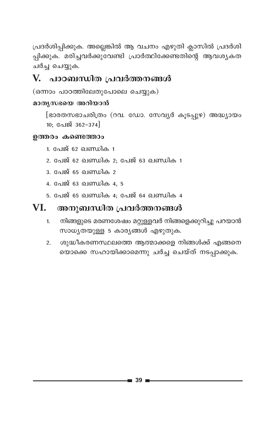പ്രദർശിപ്പിക്കുക. അല്ലെങ്കിൽ ആ വചനം എഴുതി ക്ലാസിൽ പ്രദർശി പിക്കുക. മരിച്ചവർക്കുവേണ്ടി പ്രാർത്ഥിക്കേണ്ടതിന്റെ ആവശ്യകത ചർച്ച ചെയ്യുക.

## V. പാഠബന്ധിത പ്രവർത്തനങ്ങൾ

(ഒന്നാം പാഠത്തിലേതുപോലെ ചെയ്യുക)

## മാതൃസഭയെ അറിയാൻ

[ഭാരതസഭാചരിത്രം (റവ. ഡോ. സേവ്യർ കൂടപ്പുഴ) അദ്ധ്യായം 10; പേജ് 362-374]

### ഉത്തരം കണ്ടെത്താം

- 1. പേജ് 62 ഖണ്ഡിക 1
- 2. പേജ് 62 ഖണ്ഡിക 2; പേജ് 63 ഖണ്ഡിക 1
- <u>3. പേജ് 65 ഖണ്ഡിക 2</u>
- 4. പേജ് 63 ഖണ്ഡിക 4, 5
- <u>5. പേജ് 65 ഖണ്ഡിക 4: പേജ് 64 ഖണ്ഡിക 4</u>

#### VI. അനുബന്ധിത പ്രവർത്തനങ്ങൾ

- നിങ്ങളുടെ മരണശേഷം മറ്റുള്ളവർ നിങ്ങളെക്കുറിച്ചു പറയാൻ  $1<sub>1</sub>$ സാധ്യതയുള്ള 5 കാര്യങ്ങൾ എഴുതുക.
- ശുദ്ധീകരണസ്ഥലത്തെ ആത്മാക്കളെ നിങ്ങൾക്ക് എങ്ങനെ  $\overline{2}$ . യൊക്കെ സഹായിക്കാമെന്നു ചർച്ച ചെയ്ത് നടപ്പാക്കുക.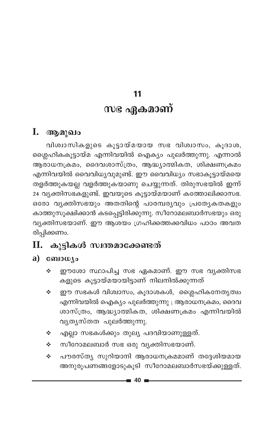## 11

## സഭ ഏകമാണ്

#### I. ആമുഖം

വിശ്വാസികളുടെ കൂട്ടായ്മയായ സഭ വിശ്വാസം, കൂദാശ, ശ്ലൈഹികകൂട്ടായ്മ എന്നിവയിൽ ഐക്യം പുലർത്തുന്നു. എന്നാൽ ആരാധനക്രമം, ദൈവശാസ്ത്രം, ആദ്ധ്യാത്മികത, ശിക്ഷണക്രമം എന്നിവയിൽ വൈവിധ്യവുമുണ്ട്. ഈ വൈവിധ്യം സഭാകൂട്ടായ്മയെ തളർത്തുകയല്ല വളർത്തുകയാണു ചെയ്യുന്നത്. തിരുസഭയിൽ ഇന്ന് 24 വ്യക്തിസഭകളുണ്ട്. ഇവയുടെ കൂട്ടായ്മയാണ് കത്തോലിക്കാസഭ. ഒരോ വ്യക്തിസഭയും അതതിന്റെ പാരമ്പര്യവും പ്രത്യേകതകളും കാത്തുസൂക്ഷിക്കാൻ കടപ്പെട്ടിരിക്കുന്നു. സീറോമലബാർസഭയും ഒരു വ്യക്തിസഭയാണ്. ഈ ആശയം ഗ്രഹിക്കത്തക്കവിധം പാഠം അവത രിപ്പിക്കണം.

## $II.$  കൂട്ടികൾ സ്വന്തമാക്കേണ്ടത്

### a)  $\omega_{\text{1}}$

- ഈശോ സ്ഥാപിച്ച സഭ ഏകമാണ്. ഈ സഭ വ്യക്തിസഭ  $\mathcal{L}_{\mathcal{S}}$ കളുടെ കൂട്ടായ്മയായിട്ടാണ് നിലനിൽക്കുന്നത്
- ഈ സഭകൾ വിശ്വാസം, കൂദാശകൾ, ശ്ലൈഹികനേതൃത്വം ÷ എന്നിവയിൽ ഐക്യം പുലർത്തുന്നു ; ആരാധനക്രമം, ദൈവ ശാസ്ത്രം, ആദ്ധ്യാത്മികത, ശിക്ഷണക്രമം എന്നിവയിൽ വൃതൃസ്തത പുലർത്തുന്നു.
- എല്ലാ സഭകൾക്കും തുല്യ പദവിയാണുള്ളത്. ÷
- സീറോമലബാർ സഭ ഒരു വ്യക്തിസഭയാണ്. ÷
- പൗരസ്ത്യ സുറിയാനി ആരാധനക്രമമാണ് തദ്ദേശിയമായ  $\frac{1}{2}$ അനുരൂപണങ്ങളോടുകൂടി സീറോമലബാർസഭയ്ക്കുള്ളത്.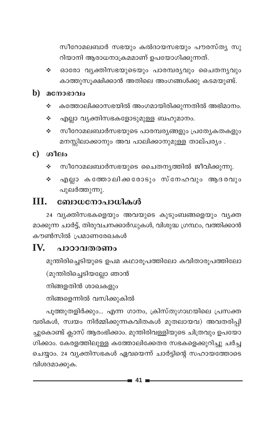സീറോമലബാർ സഭയും കൽദായസഭയും പൗരസ്ത്യ സു റിയാനി ആരാധനാക്രമമാണ് ഉപയോഗിക്കുന്നത്.

- ❖ ഓരോ വൃക്തിസഭയുടെയും പാരമ്പര്യവും ചൈതനൃവും കാത്തുസുക്ഷിക്കാൻ അതിലെ അംഗങ്ങൾക്കു കടമയുണ്ട്.
- $\mathbf b$ ) മനോഭാവം
	- കത്തോലിക്കാസഭയിൽ അംഗമായിരിക്കുന്നതിൽ അഭിമാനം.  $\mathcal{L}_{\mathcal{S}}$
	- എല്ലാ വ്യക്തിസഭകളോടുമുള്ള ബഹുമാനം. ÷
	- സീറോമലബാർസഭയുടെ പാരമ്പര്യങ്ങളും പ്രത്യേകതകളും ÷ മനസ്സിലാക്കാനും അവ പാലിക്കാനുമുള്ള താല്പര്യം .
- $c)$  ശീലം
	- സീറോമലബാർസഭയുടെ ചൈതന്യത്തിൽ ജീവിക്കുന്നു. ÷
	- എല്ലാ കത്തോലിക്കരോടും സ്നേഹവും ആദരവും  $\frac{1}{2}$ പുലർത്തുന്നു.

#### III. ബോധനോപാധികൾ

24 വ്യക്തിസഭകളെയും അവയുടെ കുടുംബങ്ങളെയും വ്യക്ത മാക്കുന്ന ചാർട്ട്, തിരുവചനക്കാർഡുകൾ, വിശുദ്ധ ഗ്രന്ഥം, വത്തിക്കാൻ കൗൺസിൽ പ്രമാണരേഖകൾ

#### IV. പാഠാവതരണം

മുന്തിരിച്ചെടിയുടെ ഉപമ കഥാരൂപത്തിലോ കവിതാരൂപത്തിലോ

(മുന്തിരിച്ചെടിയല്ലോ ഞാൻ

നിങ്ങളതിൻ ശാഖകളും

നിങ്ങളെന്നിൽ വസിക്കുകിൽ

പൂത്തുതളിർക്കും... എന്ന ഗാനം, ക്രിസ്തുഗാഥയിലെ പ്രസക്ത വരികൾ, സ്വയം നിർമ്മിക്കുന്നകവിതകൾ മുതലായവ) അവതരിപ്പി ച്ചുകൊണ്ട് ക്ലാസ് ആരംഭിക്കാം. മുന്തിരിവള്ളിയുടെ ചിത്രവും ഉപയോ ഗിക്കാം. കേരളത്തിലുള്ള കത്തോലിക്കേതര സഭകളെക്കുറിച്ചു ചർച്ച ചെയ്യാം. 24 വ്യക്തിസഭകൾ ഏവയെന്ന് ചാർട്ടിന്റെ സഹായത്തോടെ വിശദമാക്കുക.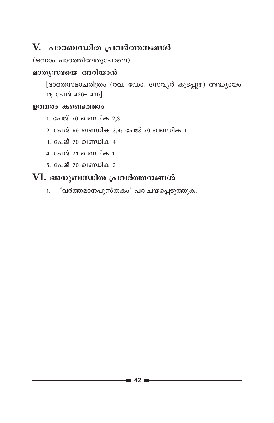## V. പാഠബന്ധിത പ്രവർത്തനങ്ങൾ

```
(ഒന്നാം പാഠത്തിലേതുപോലെ)
```
### മാതൃസഭയെ അറിയാൻ

[ഭാരതസഭാചരിത്രം (റവ. ഡോ. സേവ്യർ കൂടപ്പുഴ) അദ്ധ്യായം 11; പേജ് 426- 430

### ഉത്തരം കണ്ടെത്താം

- 1. പേജ് 70 ഖണ്ഡിക 2,3
- 2. പേജ് 69 ഖണ്ഡിക 3.4: പേജ് 70 ഖണ്ഡിക 1
- $\frac{3}{2}$  പേജ് 70 ഖണ്ഡിക 4
- $\frac{1}{2}$  പേജ് 71 ലെ ബ്രിക 1
- <u>5. പേജ് 70 ഖണ്ഡിക 3</u>

## VI. അനുബന്ധിത പ്രവർത്തനങ്ങൾ

'വർത്തമാനപുസ്തകം' പരിചയപ്പെടുത്തുക.  $1<sub>1</sub>$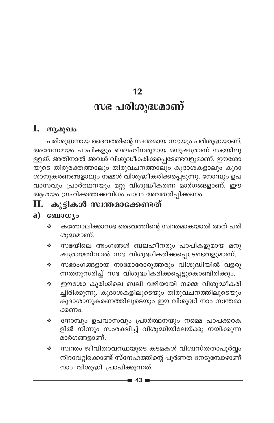# $12$ സഭ പരിശുദ്ധമാണ്

## I. ആമുഖം

പരിശുദ്ധനായ ദൈവത്തിന്റെ സ്വന്തമായ സഭയും പരിശുദ്ധയാണ്. അതേസമയം പാപികളും ബലഹീനരുമായ മനുഷ്യരാണ് സഭയിലു ള്ളത്. അതിനാൽ അവൾ വിശുദ്ധീകരിക്കപ്പെടേണ്ടവളുമാണ്. ഈശോ യുടെ തിരുരക്തത്താലും തിരുവചനത്താലും കൂദാശകളാലും കൂദാ ശാനുകരണങ്ങളാലും നമ്മൾ വിശുദ്ധീകരിക്കപ്പെടുന്നു. നോമ്പും ഉപ വാസവും പ്രാർത്ഥനയും മറ്റു വിശുദ്ധീകരണ മാർഗങ്ങളാണ്. ഈ ആശയം ഗ്രഹിക്കത്തക്കവിധം പാഠം അവതരിപ്പിക്കണം.

#### കുട്ടികൾ സ്വന്തമാക്കേണ്ടത് П. –

### a)  $\cos\omega$

- കത്തോലിക്കാസഭ ദൈവത്തിന്റെ സ്വന്തമാകയാൽ അത് പരി  $\frac{1}{2}$ ശുദ്ധമാണ്.
- സഭയിലെ അംഗങ്ങൾ ബലഹീനരും പാപികളുമായ മനു  $\mathbf{e}_\mathbf{a}^\bullet$ ഷ്യരായതിനാൽ സഭ വിശുദ്ധീകരിക്കപ്പെടേണ്ടവളുമാണ്.
- സഭാംഗങ്ങളായ നാമോരോരുത്തരും വിശുദ്ധിയിൽ വളരു  $\mathcal{L}_{\mathbf{c}^*}$ .<br>ന്നതനുസരിച്ച് സഭ വിശുദ്ധീകരിക്കപ്പെട്ടുകൊണ്ടിരിക്കും.
- ഈശോ കുരിശിലെ ബലി വഴിയായി നമ്മെ വിശുദ്ധീകരി  $\mathcal{L}_{\mathcal{S}}$ ച്ചിരിക്കുന്നു. കൂദാശകളിലൂടെയും തിരുവചനത്തിലൂടെയും കൂദാശാനുകരണത്തിലൂടെയും ഈ വിശുദ്ധി നാം സ്വന്തമാ ക്കണം.
- നോമ്പും ഉപവാസവും പ്രാർത്ഥനയും നമ്മെ പാപക്കറക  $\mathbf{e}_\mathbf{a}^\bullet$ ളിൽ നിന്നും സംരക്ഷിച്ച് വിശുദ്ധിയിലേയ്ക്കു നയിക്കുന്ന മാർഗങ്ങളാണ്.
- സ്വന്തം ജീവിതാവസ്ഥയുടെ കടമകൾ വിശ്വസ്തതാപൂർവ്വം ÷ നിറവേറ്റിക്കൊണ്ട് സ്നേഹത്തിന്റെ പൂർണത നേടുമ്പോഴാണ് നാം വിശുദ്ധി പ്രാപിക്കുന്നത്.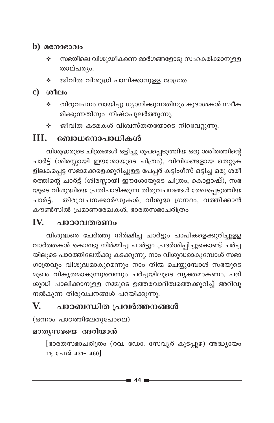## b)  $\alpha$ നോഭാവം

- സഭയിലെ വിശുദ്ധീകരണ മാർഗങ്ങളോടു സഹകരിക്കാനുള്ള  $\frac{1}{2}$ താല്പര്യം.
- ജീവിത വിശുദ്ധി പാലിക്കാനുള്ള ജാഗ്രത  $\frac{1}{2}$
- $c)$  ശീലം
	- തിരുവചനം വായിച്ചു ധ്യാനിക്കുന്നതിനും കൂദാശകൾ സ്വീക  $\frac{1}{2}$ രിക്കുന്നതിനും നിഷ്ഠപുലർത്തുന്നു.
	- ജീവിത കടമകൾ വിശ്വസ്തതയോടെ നിറവേറുന്നു.  $\frac{1}{2}$

#### ബോധനോപാധികൾ HI.

വിശുദ്ധരുടെ ചിത്രങ്ങൾ ഒട്ടിച്ചു രൂപപ്പെടുത്തിയ ഒരു ശരീരത്തിന്റെ ചാർട്ട് (ശിരസ്സായി ഈശോയുടെ ചിത്രം), വിവിധങ്ങളായ തെറ്റുക ളിലകപ്പെട്ട സഭാമക്കളെക്കുറിച്ചുള്ള പേപ്പർ കട്ടിംഗ്സ് ഒട്ടിച്ച ഒരു ശരീ രത്തിന്റെ ചാർട്ട് (ശിരസ്സായി ഈശോയുടെ ചിത്രം, കൊളാഷ്), സഭ യുടെ വിശുദ്ധിയെ പ്രതിപാദിക്കുന്ന തിരുവചനങ്ങൾ രേഖപ്പെടുത്തിയ ചാർട്ട്, തിരുവചനക്കാർഡുകൾ, വിശുദ്ധ ഗ്രന്ഥം, വത്തിക്കാൻ കൗൺസിൽ പ്രമാണരേഖകൾ, ഭാരതസഭാചരിത്രം

#### $\bf{IV}$ പാഠാവതരണം

വിശുദ്ധരെ ചേർത്തു നിർമ്മിച്ച ചാർട്ടും പാപികളെക്കുറിച്ചുളള വാർത്തകൾ കൊണ്ടു നിർമ്മിച്ച ചാർട്ടും പ്രദർശിപ്പിച്ചുകൊണ്ട് ചർച്ച യിലൂടെ പാഠത്തിലേയ്ക്കു കടക്കുന്നു. നാം വിശുദ്ധരാകുമ്പോൾ സഭാ ഗാത്രവും വിശുദ്ധമാകുമെന്നും നാം തിന്മ ചെയ്യുമ്പോൾ സഭയുടെ മുഖം വികൃതമാകുന്നുവെന്നും ചർച്ചയിലൂടെ വ്യക്തമാകണം. പരി ശുദ്ധി പാലിക്കാനുള്ള നമ്മുടെ ഉത്തരവാദിത്വത്തെക്കുറിച്ച് അറിവു നൽകുന്ന തിരുവചനങ്ങൾ പറയിക്കുന്നു.

### V. പാഠബന്ധിത പ്രവർത്തനങ്ങൾ

(ഒന്നാം പാഠത്തിലേതുപോലെ)

## മാതൃസഭയെ അറിയാൻ

[ഭാരതസഭാചരിത്രം (റവ. ഡോ. സേവ്യർ കൂടപ്പുഴ) അദ്ധ്യായം 11: പേജ് 431- 460]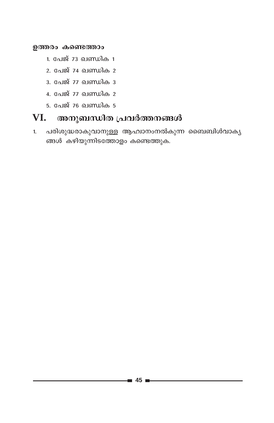### ഉത്തരം കണ്ടെത്താം

- 1. പേജ് 73 ഖണ്ഡിക 1
- 2. പേജ് 74 ഖണ്ഡിക 2
- 3. പേജ് 77 ഖണ്ഡിക 3
- 4. പേജ് 77 ഖണ്ഡിക 2
- <u>5. പേജ് 76 ഖണ്ഡിക 5</u>

#### VI. അനുബന്ധിത പ്രവർത്തനങ്ങൾ

പരിശുദ്ധരാകുവാനുള്ള ആഹ്വാനംനൽകുന്ന ബൈബിൾവാക്യ  $\mathbf{1}$ ങ്ങൾ കഴിയുന്നിടത്തോളം കണ്ടെത്തുക.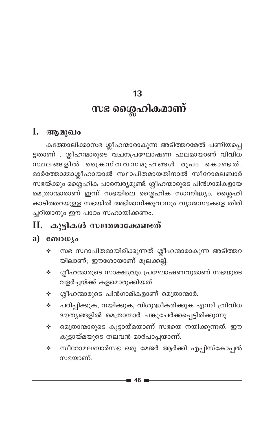## 13

# സഭ <mark>ര</mark>്യൈഹികമാണ്

#### I. ആമുഖം

കത്തോലിക്കാസഭ ശ്ലീഹന്മാരാകുന്ന അടിത്തറമേൽ പണിയപ്പെ ട്ടതാണ് . ശ്ലീഹന്മാരുടെ വചനപ്രഘോഷണ ഫലമായാണ് വിവിധ സ്ഥലങ്ങളിൽ പ്രൈസ്തവസമൂഹങ്ങൾ രൂപം കൊണ്ടത്. മാർത്തോമ്മാശ്ലീഹായാൽ സ്ഥാപിതമായതിനാൽ സീറോമലബാർ സഭയ്ക്കും ശ്ലൈഹിക പാരമ്പര്യമുണ്ട്. ശ്ലീഹന്മാരുടെ പിൻഗാമികളായ മെത്രാന്മാരാണ് ഇന്ന് സഭയിലെ ഗ്ലൈഹിക സാന്നിദ്ധ്യം. ശ്ലൈഹി കാടിത്തറയുള്ള സഭയിൽ അഭിമാനിക്കുവാനും വ്യാജസഭകളെ തിരി ച്ചറിയാനും ഈ പാഠം സഹായിക്കണം.

## $II.$  കൂട്ടികൾ സ്വന്തമാക്കേണ്ടത്

## $a)$  comowyo

- സഭ സ്ഥാപിതമായിരിക്കുന്നത് ശ്ലീഹന്മാരാകുന്ന അടിത്തറ  $\frac{1}{2}$ യിലാണ്; ഈശോയാണ് മൂലക്കല്ല്.
- ശ്ലീഹന്മാരുടെ സാക്ഷ്യവും പ്രഘോഷണവുമാണ് സഭയുടെ ÷ വളർച്ചയ്ക്ക് കളമൊരുക്കിയത്.
- ശ്ലീഹന്മാരുടെ പിൻഗാമികളാണ് മെത്രാന്മാർ. ÷
- പഠിപ്പിക്കുക, നയിക്കുക, വിശുദ്ധീകരിക്കുക എന്നീ ത്രിവിധ ÷ ദൗത്യങ്ങളിൽ മെത്രാന്മാർ പങ്കുചേർക്കപ്പെട്ടിരിക്കുന്നു.
- മെത്രാന്മാരുടെ കുട്ടായ്മയാണ് സഭയെ നയിക്കുന്നത്. ഈ  $\frac{1}{2}$ കൂട്ടായ്മയുടെ തലവൻ മാർപാപ്പയാണ്.
- സീറോമലബാർസഭ ഒരു മേജർ ആർക്കി എപ്പിസ്കോപ്പൽ ❖ സഭയാണ്.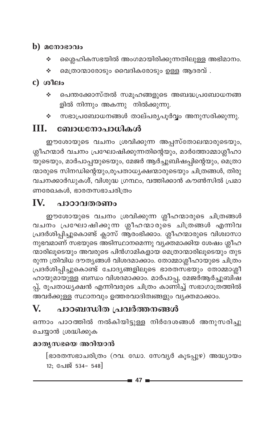## $\bf b)$  മനോഭാവം

- ശ്ലൈഹികസഭയിൽ അംഗമായിരിക്കുന്നതിലുള്ള അഭിമാനം.  $\sigma_{\rm eff}^{\rm th}$
- മെത്രാന്മാരോടും വൈദികരോടും ഉള്ള ആദരവ് . **桑**

## $c)$  ശീലം

- പെന്തക്കോസ്തൽ സമൂഹങ്ങളുടെ അബദ്ധപ്രബോധനങ്ങ  $\frac{1}{2}$ ളിൽ നിന്നും അകന്നു നിൽക്കുന്നു.
- ❖ സഭാപ്രബോധനങ്ങൾ താല്പര്യപൂർവ്വം അനുസരിക്കുന്നു.

### $III.$ ബോധനോപാധികൾ

ഈശോയുടെ വചനം ശ്രവിക്കുന്ന അപ്പസ്തോലന്മാരുടെയും, ശ്ലീഹന്മാർ വചനം പ്രഘോഷിക്കുന്നതിന്റെയും, മാർത്തോമ്മാശ്ലീഹാ യുടെയും, മാർപാപ്പയുടെയും, മേജർ ആർച്ചുബിഷപ്പിന്റെയും, മെത്രാ ന്മാരുടെ സിനഡിന്റെയും,രൂപതാധ്യക്ഷന്മാരുടെയും ചിത്രങ്ങൾ, തിരു വചനക്കാർഡുകൾ്, വിശുദ്ധ ഗ്രന്ഥം, വത്തിക്കാൻ കൗൺസിൽ പ്രമാ ണരേഖകൾ, ഭാരതസഭാചരിത്രം

### IV. പാഠാവതരണം

ഈശോയുടെ വചനം ശ്രവിക്കുന്ന ശ്ലീഹന്മാരുടെ ചിത്രങ്ങൾ വചനം പ്രഘോഷിക്കുന്ന ശ്ലീഹന്മാരുടെ ചിത്രങ്ങൾ എന്നിവ പ്രദർശിപ്പിച്ചുകൊണ്ട് ക്ലാസ് ആ്രംഭിക്കാം. ശ്ലീഹന്മാരുടെ വിശ്വാസാ നുഭവമാണ് സഭയുടെ അടിസ്ഥാനമെന്നു വ്യക്തമാക്കിയ ശേഷം ശ്ലീഹ ന്മാരിലൂടെയും അവരുടെ പിൻഗാമികളായ മെത്രാന്മാരിലൂടെയും തുട രുന്ന ത്രിവിധ ദൗത്യങ്ങൾ വിശദമാക്കാം. തോമ്മാശ്ലീഹായുടെ ചിത്രം പ്രദർശിപ്പിച്ചുകൊണ്ട് ചോദ്യങ്ങളിലൂടെ ഭാരതസഭയും തോമ്മാശ്ലീ ഹായുമായുള്ള ബന്ധം വിശദമാക്കാം. മാർപാപ്പ, മേജർആർച്ചുബിഷ പ്പ്, രൂപതാധ്യക്ഷൻ എന്നിവരുടെ ചിത്രം കാണിച്ച് സഭാഗാത്രത്തിൽ അവർക്കുള്ള സ്ഥാനവും ഉത്തരവാദിത്വങ്ങളും വ്യക്തമാക്കാം.

### പാഠബന്ധിത പ്രവർത്തനങ്ങൾ V.

ഒന്നാം പാഠത്തിൽ നൽകിയിട്ടുള്ള നിർദേശങ്ങൾ അനുസരിച്ചു ചെയ്യാൻ ശ്രദ്ധിക്കുക

## മാതൃസഭയെ അറിയാൻ

[ഭാരതസഭാചരിത്രം (റവ. ഡോ. സേവ്യർ കൂടപ്പുഴ) അദ്ധ്യായം 12; പേജ് 534- 548]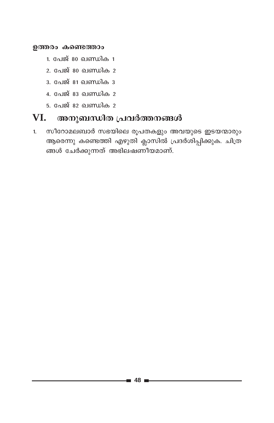### ഉത്തരം കണ്ടെത്താം

- 1. പേജ് 80 ഖണ്ഡിക 1
- 2. പേജ് 80 ഖണ്ഡിക 2
- 3. പേജ് 81 **ഖണ്ഡിക** 3
- 4. പേജ് 83 ഖണ്ഡിക 2
- <u>5. പേജ് 82 ഖണ്ഡിക 2</u>

#### VI. അനുബന്ധിത പ്രവർത്തനങ്ങൾ

സീറോമലബാർ സഭയിലെ രൂപതകളും അവയുടെ ഇടയന്മാരും  $1<sub>1</sub>$ ആരെന്നു കണ്ടെത്തി എഴുതി ക്ലാസിൽ പ്രദർശിപ്പിക്കുക. ചിത്ര ങ്ങൾ ചേർക്കുന്നത് അഭിലഷണീയമാണ്.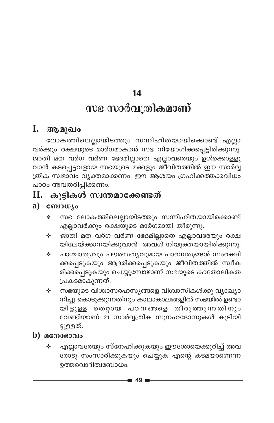### 14

## സഭ സാർവത്രികമാണ്

## I. ആമുഖം

ലോകത്തിലെല്ലായിടത്തും സന്നിഹിതയായിക്കൊണ്ട് എല്ലാ വർക്കും രക്ഷയുടെ മാർഗമാകാൻ സഭ നിയോഗിക്കപ്പെട്ടിരിക്കുന്നു. ജാതി മത വർഗ വർണ ഭേദമില്ലാതെ എല്ലാവരെയും ഉൾക്കൊള്ളു വാൻ കടപ്പെട്ടവളായ സഭയുടെ മക്കളും ജീവിതത്തിൽ ഈ സാർവ്വ ത്രിക സ്വഭാവം വ്യക്തമാക്കണം. ഈ ആശയം ഗ്രഹിക്കത്തക്കവിധം പാഠം അവതരിപ്പിക്കണം.

### കുട്ടികൾ സ്വന്തമാക്കേണ്ടത് П.

## a) ബോധ്യം

- സഭ ലോകത്തിലെല്ലായിടത്തും സന്നിഹിതയായിക്കൊണ്ട് ÷ എല്ലാവർക്കും രക്ഷയുടെ മാർഗമായി തീരുന്നു.
- .<br>ജാതി മത വർഗ വർണ ഭേദമില്ലാതെ എല്ലാവരേയും രക്ഷ ÷ യിലേയ്ക്കാനയിക്കുവാൻ അവ്ൾ നിയുക്ത്യായിരിക്കുന്നു.
- പാശ്ചാതൃവും പൗരസതൃവുമായ പാരമ്പരൃങ്ങൾ സംരക്ഷി ÷. ക്കപ്പെടുകയും ആദരിക്കപ്പെടുകയും ജീവിതത്തിൽ സ്വീക രിക്കപ്പെടുകയും ചെയ്യുമ്പോഴാണ് സഭയുടെ കാതോലികത പ്രകടമാകുന്നത്.
- ❖ സഭയുടെ വിശ്വാസരഹസ്യങ്ങളെ വിശ്വാസികൾക്കു വ്യാഖ്യാ നിച്ചു കൊടുക്കുന്നതിനും കാലാകാലങ്ങളിൽ സഭയിൽ ഉണ്ടാ യിട്ടുള്ള തെറ്റായ പഠനങ്ങളെ തിരുത്തുന്നതിനും വേണ്ടിയാണ് 21 സാർവ്വത്രിക സൂനഹദോസുകൾ കൂടിയി ട്ടുള്ളത്.
- b) മനോഭാവം
	- എല്ലാവരേയും സ്നേഹിക്കുകയും ഈശോയെക്കുറിച്ച് അവ രോടു സംസാരിക്കുകയും ചെയ്യുക എന്റെ കടമയാണെന്ന ഉത്തരവാദിത്വബോധം.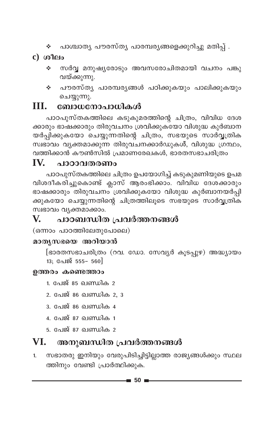❖ പാശ്ചാത്യ പൗരസ്ത്യ പാരമ്പര്യങ്ങളെക്കുറിച്ചു മതിപ്പ് .

 $c)$  ശീലം

- $\frac{1}{2}$ സർവ്വ മനുഷ്യരോടും അവസരോചിതമായി വചനം പങ്കു വയ്ക്കുന്നു.
- ❖ പൗരസ്തൃ പാരമ്പരൃങ്ങൾ പഠിക്കുകയും പാലിക്കുകയും ചെയ്യുന്നു.

#### ബോധനോപാധികൾ III.

പാഠപുസ്തകത്തിലെ കടുകുമരത്തിന്റെ ചിത്രം, വിവിധ ദേശ ക്കാരും ഭാഷക്കാരും തിരുവചനം ശ്രവിക്കുകയോ വിശുദ്ധ കുർബാന യർപ്പിക്കുകയോ ചെയ്യുന്നതിന്റെ ചിത്രം, സഭയുടെ സാർവ്വത്രിക സ്വഭാവം വ്യക്തമാക്കുന്ന തിരുവചനക്കാർഡുകൾ, വിശുദ്ധ ഗ്രന്ഥം, വത്തിക്കാൻ കൗൺസിൽ പ്രമാണരേഖകൾ, ഭാരതസഭാചരിത്രം

#### $\mathbf{IV}_{\cdot}$ പാഠാവതരണം

പാഠപുസ്തകത്തിലെ ചിത്രം ഉപയോഗിച്ച് കടുകുമണിയുടെ ഉപമ വിശദീകരിച്ചുകൊണ്ട് ക്ലാസ് ആരംഭിക്കാം. വിവിധ ദേശക്കാരും ഭാഷക്കാരും തിരുവചനം ശവിക്കുകയോ വിശുദ്ധ കുർബാനയർപ്പി ക്കുകയോ ചെയ്യുന്നതിന്റെ ചിത്രത്തിലൂടെ സഭയുടെ സാർവ്വത്രിക സ്വഭാവം വ്യക്തമാക്കാം.

#### V. പാഠബന്ധിത പ്രവർത്തനങ്ങൾ

(ഒന്നാം പാഠത്തിലേതുപോലെ)

## മാതൃസഭയെ അറിയാൻ

[ഭാരതസഭാചരിത്രം (റവ. ഡോ. സേവ്യർ കൂടപ്പുഴ) അദ്ധ്യായം 13; പേജ് 555- 560]

## ഉത്തരം കണ്ടെത്താം

- <u>1. പേജ് 85 ഖണ്ഡിക 2</u>
- 2. പേജ് 86 ഖണ്ഡിക 2. 3
- <u>3. പേജ് 86 ഖണ്ഡിക 4</u>
- 4. പേജ് 87 ഖണ്ഡിക 1
- <u>5. പേജ് 87 ഖണ്ഡിക 2</u>

### VI. അനുബന്ധിത പ്രവർത്തനങ്ങൾ

സഭാതരു ഇനിയും വേരുപിടിച്ചിട്ടില്ലാത്ത രാജ്യങ്ങൾക്കും സ്ഥല  $1.$ ത്തിനും വേണ്ടി പ്രാർത്ഥിക്കുക.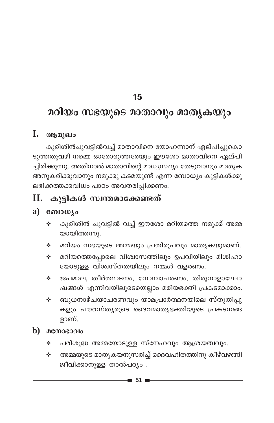## 15

## മറിയം സഭയുടെ മാതാവും മാതൃകയും

#### I. ആമുഖം

കുരിശിൻചുവട്ടിൽവച്ച് മാതാവിനെ യോഹന്നാന് ഏല്പിച്ചുകൊ ടുത്തതുവഴി നമ്മെ ഓരോരുത്തരേയും ഈശോ മാതാവിനെ ഏല്പി ച്ചിരിക്കുന്നു. അതിനാൽ മാതാവിന്റെ മാധ്യസ്ഥ്യം തേടുവാനും മാതൃക അനുകരിക്കുവാനും നമുക്കു കടമയുണ്ട് എന്ന ബോധ്യം കുട്ടികൾക്കു ലഭിക്കത്തക്കവിധം പാഠം അവതരിപ്പിക്കണം.

## $\mathbf{II.}$  കുട്ടികൾ സ്വന്തമാക്കേണ്ടത്

### $a)$  comp $0.5$

- കുരിശിൻ ചുവട്ടിൽ വച്ച് ഈശോ മറിയത്തെ നമുക്ക് അമ്മ  $\frac{1}{2}$ യായിത്തന്നു.
- മറിയം സഭയുടെ അമ്മയും പ്രതിരൂപവും മാതൃകയുമാണ്. ÷
- മറിയത്തെപ്പോലെ വിശ്വാസത്തിലും ഉപവിയിലും മിശിഹാ ÷. യോടുള്ള വിശ്വസ്തതയിലും നമ്മൾ വളരണം.
- ജപമാല, തീർത്ഥാടനം, നോമ്പാചരണം, തിരുനാളാഘോ  $\frac{1}{2}$ ഷങ്ങൾ എന്നിവയിലൂടെയെല്ലാം മരിയഭക്തി പ്രകടമാക്കാം.
- ബുധനാഴ്ചയാചരണവും യാമപ്രാർത്ഥനയിലെ സ്തുതിപ്പു ÷ കളും പൗരസ്തൃരുടെ ദൈവമാതൃഭക്തിയുടെ പ്രകടനങ്ങ ളാണ്.
- $\mathbf b$ ) മനോഭാവം
	- പരിശുദ്ധ അമ്മയോടുള്ള സ്നേഹവും ആശ്രയത്വവും. ٠
	- അമ്മയുടെ മാതൃകയനുസരിച്ച് ദൈവഹിതത്തിനു കീഴ്വഴങ്ങി ÷ ജീവിക്കാനുള്ള താൽപര്യം.